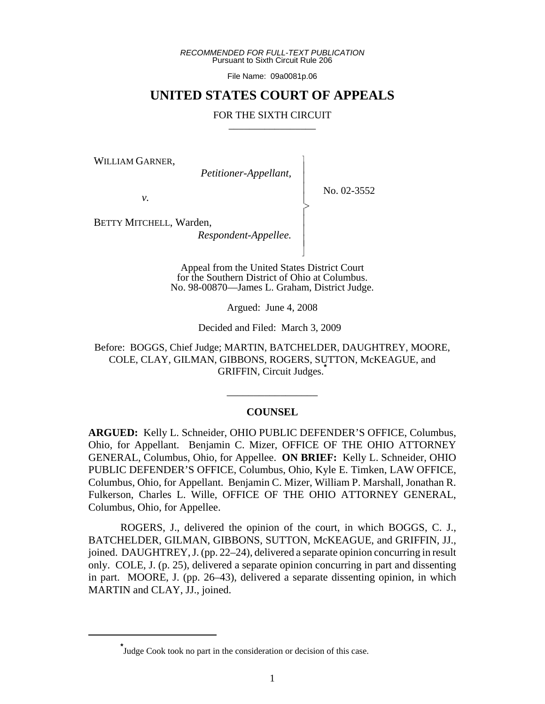*RECOMMENDED FOR FULL-TEXT PUBLICATION* Pursuant to Sixth Circuit Rule 206

File Name: 09a0081p.06

## **UNITED STATES COURT OF APPEALS**

#### FOR THE SIXTH CIRCUIT

 $\overline{\phantom{a}}$ - - - > , - - - N

WILLIAM GARNER,

*Petitioner-Appellant,*

No. 02-3552

*v.*

BETTY MITCHELL, Warden,

*Respondent-Appellee.*

Appeal from the United States District Court for the Southern District of Ohio at Columbus. No. 98-00870—James L. Graham, District Judge.

Argued: June 4, 2008

Decided and Filed: March 3, 2009

Before: BOGGS, Chief Judge; MARTIN, BATCHELDER, DAUGHTREY, MOORE, COLE, CLAY, GILMAN, GIBBONS, ROGERS, SUTTON, McKEAGUE, and GRIFFIN, Circuit Judges.**\***

#### **COUNSEL**

\_\_\_\_\_\_\_\_\_\_\_\_\_\_\_\_\_

**ARGUED:** Kelly L. Schneider, OHIO PUBLIC DEFENDER'S OFFICE, Columbus, Ohio, for Appellant. Benjamin C. Mizer, OFFICE OF THE OHIO ATTORNEY GENERAL, Columbus, Ohio, for Appellee. **ON BRIEF:** Kelly L. Schneider, OHIO PUBLIC DEFENDER'S OFFICE, Columbus, Ohio, Kyle E. Timken, LAW OFFICE, Columbus, Ohio, for Appellant. Benjamin C. Mizer, William P. Marshall, Jonathan R. Fulkerson, Charles L. Wille, OFFICE OF THE OHIO ATTORNEY GENERAL, Columbus, Ohio, for Appellee.

ROGERS, J., delivered the opinion of the court, in which BOGGS, C. J., BATCHELDER, GILMAN, GIBBONS, SUTTON, McKEAGUE, and GRIFFIN, JJ., joined. DAUGHTREY, J. (pp. 22–24), delivered a separate opinion concurring in result only. COLE, J. (p. 25), delivered a separate opinion concurring in part and dissenting in part. MOORE, J. (pp. 26–43), delivered a separate dissenting opinion, in which MARTIN and CLAY, JJ., joined.

**<sup>\*</sup>** Judge Cook took no part in the consideration or decision of this case.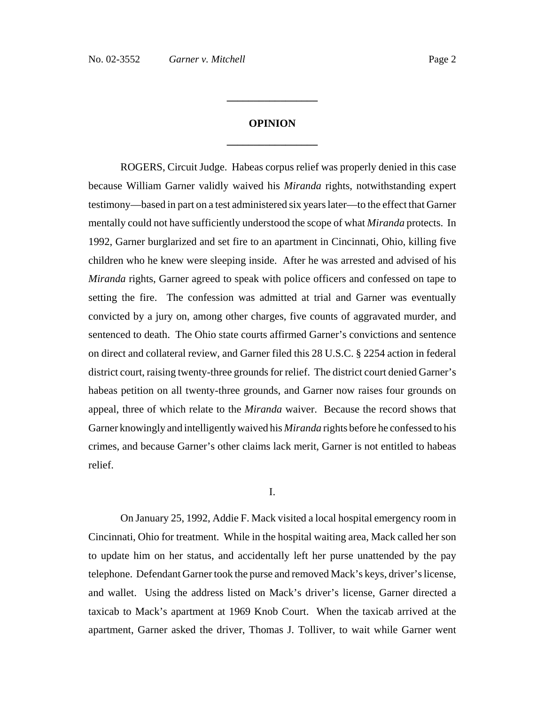# **OPINION \_\_\_\_\_\_\_\_\_\_\_\_\_\_\_\_\_**

**\_\_\_\_\_\_\_\_\_\_\_\_\_\_\_\_\_**

ROGERS, Circuit Judge. Habeas corpus relief was properly denied in this case because William Garner validly waived his *Miranda* rights, notwithstanding expert testimony—based in part on a test administered six years later—to the effect that Garner mentally could not have sufficiently understood the scope of what *Miranda* protects. In 1992, Garner burglarized and set fire to an apartment in Cincinnati, Ohio, killing five children who he knew were sleeping inside. After he was arrested and advised of his *Miranda* rights, Garner agreed to speak with police officers and confessed on tape to setting the fire. The confession was admitted at trial and Garner was eventually convicted by a jury on, among other charges, five counts of aggravated murder, and sentenced to death. The Ohio state courts affirmed Garner's convictions and sentence on direct and collateral review, and Garner filed this 28 U.S.C. § 2254 action in federal district court, raising twenty-three grounds for relief. The district court denied Garner's habeas petition on all twenty-three grounds, and Garner now raises four grounds on appeal, three of which relate to the *Miranda* waiver. Because the record shows that Garner knowingly and intelligently waived his *Miranda* rights before he confessed to his crimes, and because Garner's other claims lack merit, Garner is not entitled to habeas relief.

#### I.

On January 25, 1992, Addie F. Mack visited a local hospital emergency room in Cincinnati, Ohio for treatment. While in the hospital waiting area, Mack called her son to update him on her status, and accidentally left her purse unattended by the pay telephone. Defendant Garner took the purse and removed Mack's keys, driver's license, and wallet. Using the address listed on Mack's driver's license, Garner directed a taxicab to Mack's apartment at 1969 Knob Court. When the taxicab arrived at the apartment, Garner asked the driver, Thomas J. Tolliver, to wait while Garner went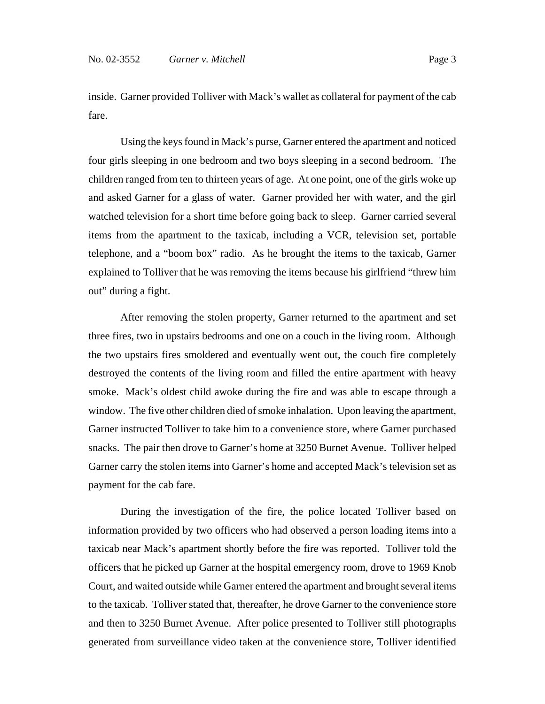inside. Garner provided Tolliver with Mack's wallet as collateral for payment of the cab fare.

Using the keys found in Mack's purse, Garner entered the apartment and noticed four girls sleeping in one bedroom and two boys sleeping in a second bedroom. The children ranged from ten to thirteen years of age. At one point, one of the girls woke up and asked Garner for a glass of water. Garner provided her with water, and the girl watched television for a short time before going back to sleep. Garner carried several items from the apartment to the taxicab, including a VCR, television set, portable telephone, and a "boom box" radio. As he brought the items to the taxicab, Garner explained to Tolliver that he was removing the items because his girlfriend "threw him out" during a fight.

After removing the stolen property, Garner returned to the apartment and set three fires, two in upstairs bedrooms and one on a couch in the living room. Although the two upstairs fires smoldered and eventually went out, the couch fire completely destroyed the contents of the living room and filled the entire apartment with heavy smoke. Mack's oldest child awoke during the fire and was able to escape through a window. The five other children died of smoke inhalation. Upon leaving the apartment, Garner instructed Tolliver to take him to a convenience store, where Garner purchased snacks. The pair then drove to Garner's home at 3250 Burnet Avenue. Tolliver helped Garner carry the stolen items into Garner's home and accepted Mack's television set as payment for the cab fare.

During the investigation of the fire, the police located Tolliver based on information provided by two officers who had observed a person loading items into a taxicab near Mack's apartment shortly before the fire was reported. Tolliver told the officers that he picked up Garner at the hospital emergency room, drove to 1969 Knob Court, and waited outside while Garner entered the apartment and brought several items to the taxicab. Tolliver stated that, thereafter, he drove Garner to the convenience store and then to 3250 Burnet Avenue. After police presented to Tolliver still photographs generated from surveillance video taken at the convenience store, Tolliver identified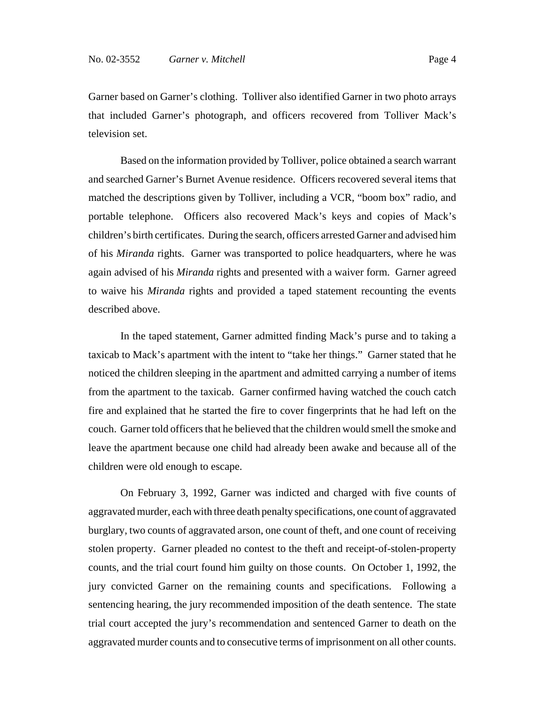Garner based on Garner's clothing. Tolliver also identified Garner in two photo arrays that included Garner's photograph, and officers recovered from Tolliver Mack's television set.

Based on the information provided by Tolliver, police obtained a search warrant and searched Garner's Burnet Avenue residence. Officers recovered several items that matched the descriptions given by Tolliver, including a VCR, "boom box" radio, and portable telephone. Officers also recovered Mack's keys and copies of Mack's children's birth certificates. During the search, officers arrested Garner and advised him of his *Miranda* rights. Garner was transported to police headquarters, where he was again advised of his *Miranda* rights and presented with a waiver form. Garner agreed to waive his *Miranda* rights and provided a taped statement recounting the events described above.

In the taped statement, Garner admitted finding Mack's purse and to taking a taxicab to Mack's apartment with the intent to "take her things." Garner stated that he noticed the children sleeping in the apartment and admitted carrying a number of items from the apartment to the taxicab. Garner confirmed having watched the couch catch fire and explained that he started the fire to cover fingerprints that he had left on the couch. Garner told officers that he believed that the children would smell the smoke and leave the apartment because one child had already been awake and because all of the children were old enough to escape.

On February 3, 1992, Garner was indicted and charged with five counts of aggravated murder, each with three death penalty specifications, one count of aggravated burglary, two counts of aggravated arson, one count of theft, and one count of receiving stolen property. Garner pleaded no contest to the theft and receipt-of-stolen-property counts, and the trial court found him guilty on those counts. On October 1, 1992, the jury convicted Garner on the remaining counts and specifications. Following a sentencing hearing, the jury recommended imposition of the death sentence. The state trial court accepted the jury's recommendation and sentenced Garner to death on the aggravated murder counts and to consecutive terms of imprisonment on all other counts.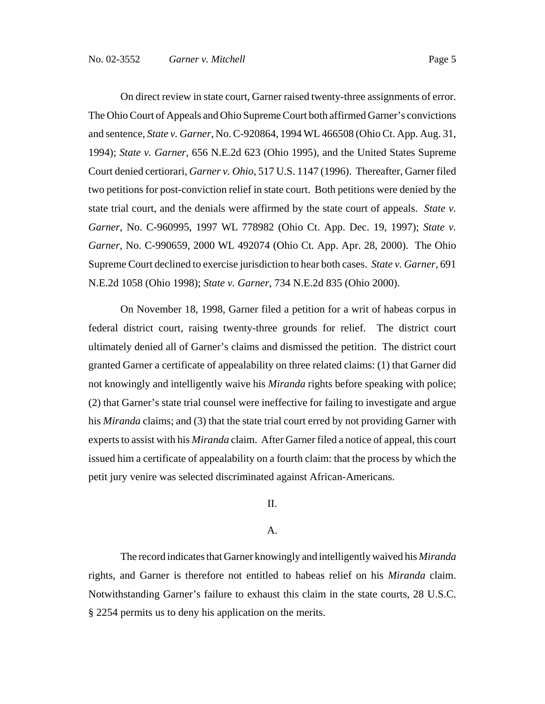On direct review in state court, Garner raised twenty-three assignments of error. The Ohio Court of Appeals and Ohio Supreme Court both affirmed Garner's convictions and sentence, *State v. Garner*, No. C-920864, 1994 WL 466508 (Ohio Ct. App. Aug. 31, 1994); *State v. Garner*, 656 N.E.2d 623 (Ohio 1995)*,* and the United States Supreme Court denied certiorari, *Garner v. Ohio*, 517 U.S. 1147 (1996). Thereafter, Garner filed two petitions for post-conviction relief in state court. Both petitions were denied by the state trial court, and the denials were affirmed by the state court of appeals. *State v. Garner*, No. C-960995, 1997 WL 778982 (Ohio Ct. App. Dec. 19, 1997); *State v. Garner*, No. C-990659, 2000 WL 492074 (Ohio Ct. App. Apr. 28, 2000). The Ohio Supreme Court declined to exercise jurisdiction to hear both cases. *State v. Garner*, 691 N.E.2d 1058 (Ohio 1998); *State v. Garner*, 734 N.E.2d 835 (Ohio 2000).

On November 18, 1998, Garner filed a petition for a writ of habeas corpus in federal district court, raising twenty-three grounds for relief. The district court ultimately denied all of Garner's claims and dismissed the petition. The district court granted Garner a certificate of appealability on three related claims: (1) that Garner did not knowingly and intelligently waive his *Miranda* rights before speaking with police; (2) that Garner's state trial counsel were ineffective for failing to investigate and argue his *Miranda* claims; and (3) that the state trial court erred by not providing Garner with experts to assist with his *Miranda* claim. After Garner filed a notice of appeal, this court issued him a certificate of appealability on a fourth claim: that the process by which the petit jury venire was selected discriminated against African-Americans.

II.

#### A.

The record indicates that Garner knowingly and intelligently waived his *Miranda* rights, and Garner is therefore not entitled to habeas relief on his *Miranda* claim. Notwithstanding Garner's failure to exhaust this claim in the state courts, 28 U.S.C. § 2254 permits us to deny his application on the merits.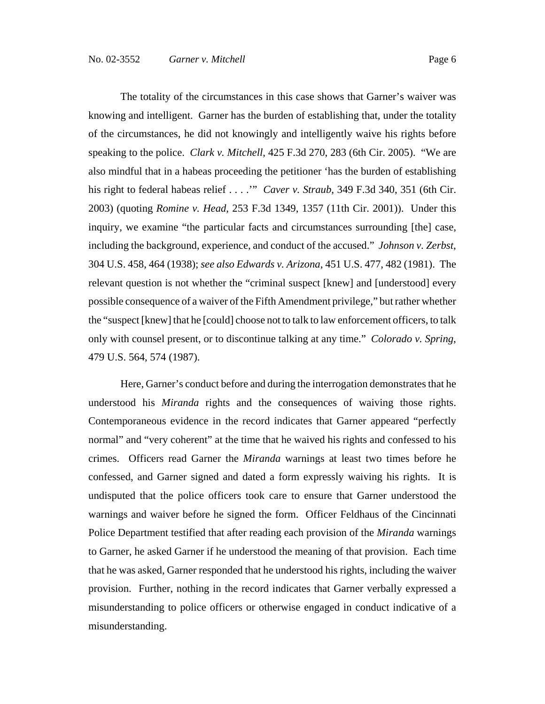The totality of the circumstances in this case shows that Garner's waiver was knowing and intelligent. Garner has the burden of establishing that, under the totality of the circumstances, he did not knowingly and intelligently waive his rights before speaking to the police. *Clark v. Mitchell*, 425 F.3d 270, 283 (6th Cir. 2005). "We are also mindful that in a habeas proceeding the petitioner 'has the burden of establishing his right to federal habeas relief . . . .'" *Caver v. Straub*, 349 F.3d 340, 351 (6th Cir. 2003) (quoting *Romine v. Head*, 253 F.3d 1349, 1357 (11th Cir. 2001)). Under this inquiry, we examine "the particular facts and circumstances surrounding [the] case, including the background, experience, and conduct of the accused." *Johnson v. Zerbst*, 304 U.S. 458, 464 (1938); *see also Edwards v. Arizona*, 451 U.S. 477, 482 (1981). The relevant question is not whether the "criminal suspect [knew] and [understood] every possible consequence of a waiver of the Fifth Amendment privilege," but rather whether the "suspect [knew] that he [could] choose not to talk to law enforcement officers, to talk only with counsel present, or to discontinue talking at any time." *Colorado v. Spring*, 479 U.S. 564, 574 (1987).

Here, Garner's conduct before and during the interrogation demonstrates that he understood his *Miranda* rights and the consequences of waiving those rights. Contemporaneous evidence in the record indicates that Garner appeared "perfectly normal" and "very coherent" at the time that he waived his rights and confessed to his crimes. Officers read Garner the *Miranda* warnings at least two times before he confessed, and Garner signed and dated a form expressly waiving his rights. It is undisputed that the police officers took care to ensure that Garner understood the warnings and waiver before he signed the form. Officer Feldhaus of the Cincinnati Police Department testified that after reading each provision of the *Miranda* warnings to Garner, he asked Garner if he understood the meaning of that provision. Each time that he was asked, Garner responded that he understood his rights, including the waiver provision. Further, nothing in the record indicates that Garner verbally expressed a misunderstanding to police officers or otherwise engaged in conduct indicative of a misunderstanding.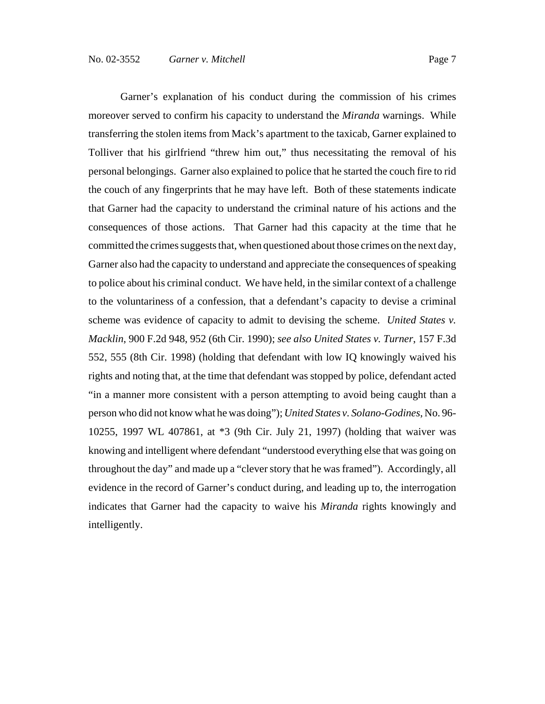Garner's explanation of his conduct during the commission of his crimes moreover served to confirm his capacity to understand the *Miranda* warnings. While transferring the stolen items from Mack's apartment to the taxicab, Garner explained to Tolliver that his girlfriend "threw him out," thus necessitating the removal of his personal belongings. Garner also explained to police that he started the couch fire to rid the couch of any fingerprints that he may have left. Both of these statements indicate that Garner had the capacity to understand the criminal nature of his actions and the consequences of those actions. That Garner had this capacity at the time that he committed the crimes suggests that, when questioned about those crimes on the next day, Garner also had the capacity to understand and appreciate the consequences of speaking to police about his criminal conduct. We have held, in the similar context of a challenge to the voluntariness of a confession, that a defendant's capacity to devise a criminal scheme was evidence of capacity to admit to devising the scheme. *United States v. Macklin*, 900 F.2d 948, 952 (6th Cir. 1990); *see also United States v. Turner*, 157 F.3d 552, 555 (8th Cir. 1998) (holding that defendant with low IQ knowingly waived his rights and noting that, at the time that defendant was stopped by police, defendant acted "in a manner more consistent with a person attempting to avoid being caught than a person who did not know what he was doing"); *United States v. Solano-Godines*, No. 96- 10255, 1997 WL 407861, at \*3 (9th Cir. July 21, 1997) (holding that waiver was knowing and intelligent where defendant "understood everything else that was going on throughout the day" and made up a "clever story that he was framed"). Accordingly, all evidence in the record of Garner's conduct during, and leading up to, the interrogation indicates that Garner had the capacity to waive his *Miranda* rights knowingly and intelligently.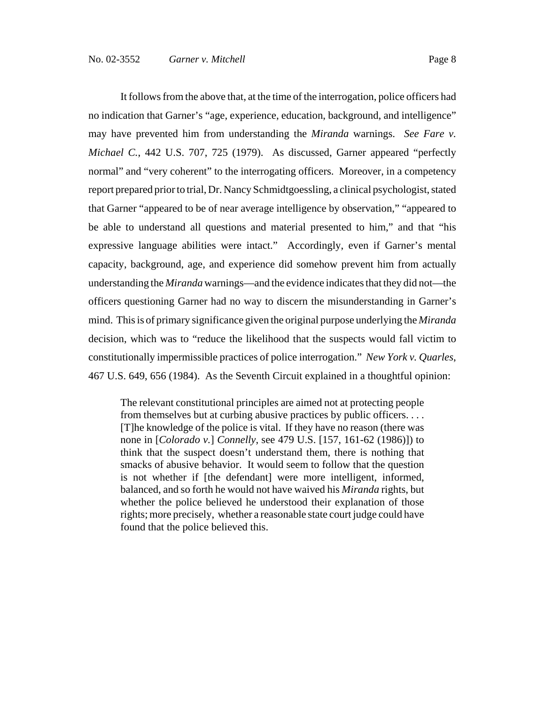It follows from the above that, at the time of the interrogation, police officers had no indication that Garner's "age, experience, education, background, and intelligence" may have prevented him from understanding the *Miranda* warnings. *See Fare v. Michael C.*, 442 U.S. 707, 725 (1979). As discussed, Garner appeared "perfectly normal" and "very coherent" to the interrogating officers. Moreover, in a competency report prepared prior to trial, Dr. Nancy Schmidtgoessling, a clinical psychologist, stated that Garner "appeared to be of near average intelligence by observation," "appeared to be able to understand all questions and material presented to him," and that "his expressive language abilities were intact." Accordingly, even if Garner's mental capacity, background, age, and experience did somehow prevent him from actually understanding the *Miranda* warnings—and the evidence indicates that they did not—the officers questioning Garner had no way to discern the misunderstanding in Garner's mind. This is of primary significance given the original purpose underlying the *Miranda* decision, which was to "reduce the likelihood that the suspects would fall victim to constitutionally impermissible practices of police interrogation." *New York v. Quarles*, 467 U.S. 649, 656 (1984). As the Seventh Circuit explained in a thoughtful opinion:

The relevant constitutional principles are aimed not at protecting people from themselves but at curbing abusive practices by public officers. . . . [T]he knowledge of the police is vital. If they have no reason (there was none in [*Colorado v.*] *Connelly*, see 479 U.S. [157, 161-62 (1986)]) to think that the suspect doesn't understand them, there is nothing that smacks of abusive behavior. It would seem to follow that the question is not whether if [the defendant] were more intelligent, informed, balanced, and so forth he would not have waived his *Miranda* rights, but whether the police believed he understood their explanation of those rights; more precisely, whether a reasonable state court judge could have found that the police believed this.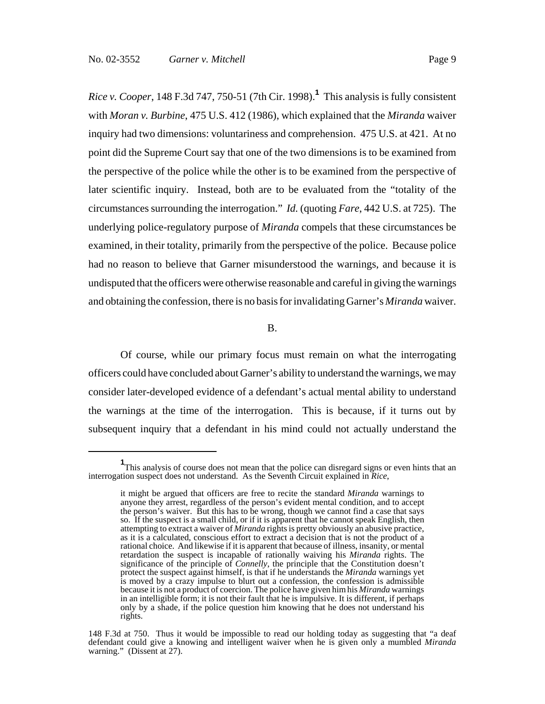*Rice v. Cooper*, 148 F.3d 747, 750-51 (7th Cir. 1998).**<sup>1</sup>** This analysis is fully consistent with *Moran v. Burbine*, 475 U.S. 412 (1986), which explained that the *Miranda* waiver inquiry had two dimensions: voluntariness and comprehension. 475 U.S. at 421. At no point did the Supreme Court say that one of the two dimensions is to be examined from the perspective of the police while the other is to be examined from the perspective of later scientific inquiry. Instead, both are to be evaluated from the "totality of the circumstances surrounding the interrogation." *Id.* (quoting *Fare*, 442 U.S. at 725). The underlying police-regulatory purpose of *Miranda* compels that these circumstances be examined, in their totality, primarily from the perspective of the police. Because police had no reason to believe that Garner misunderstood the warnings, and because it is undisputed that the officers were otherwise reasonable and careful in giving the warnings and obtaining the confession, there is no basis for invalidating Garner's *Miranda* waiver.

B.

Of course, while our primary focus must remain on what the interrogating officers could have concluded about Garner's ability to understand the warnings, we may consider later-developed evidence of a defendant's actual mental ability to understand the warnings at the time of the interrogation. This is because, if it turns out by subsequent inquiry that a defendant in his mind could not actually understand the

<sup>&</sup>lt;sup>1</sup>This analysis of course does not mean that the police can disregard signs or even hints that an interrogation suspect does not understand. As the Seventh Circuit explained in *Rice*,

it might be argued that officers are free to recite the standard *Miranda* warnings to anyone they arrest, regardless of the person's evident mental condition, and to accept the person's waiver. But this has to be wrong, though we cannot find a case that says so. If the suspect is a small child, or if it is apparent that he cannot speak English, then attempting to extract a waiver of *Miranda* rights is pretty obviously an abusive practice, as it is a calculated, conscious effort to extract a decision that is not the product of a rational choice. And likewise if it is apparent that because of illness, insanity, or mental retardation the suspect is incapable of rationally waiving his *Miranda* rights. The significance of the principle of *Connelly*, the principle that the Constitution doesn't protect the suspect against himself, is that if he understands the *Miranda* warnings yet is moved by a crazy impulse to blurt out a confession, the confession is admissible because it is not a product of coercion. The police have given him his *Miranda* warnings in an intelligible form; it is not their fault that he is impulsive. It is different, if perhaps only by a shade, if the police question him knowing that he does not understand his rights.

<sup>148</sup> F.3d at 750. Thus it would be impossible to read our holding today as suggesting that "a deaf defendant could give a knowing and intelligent waiver when he is given only a mumbled *Miranda* warning." (Dissent at 27).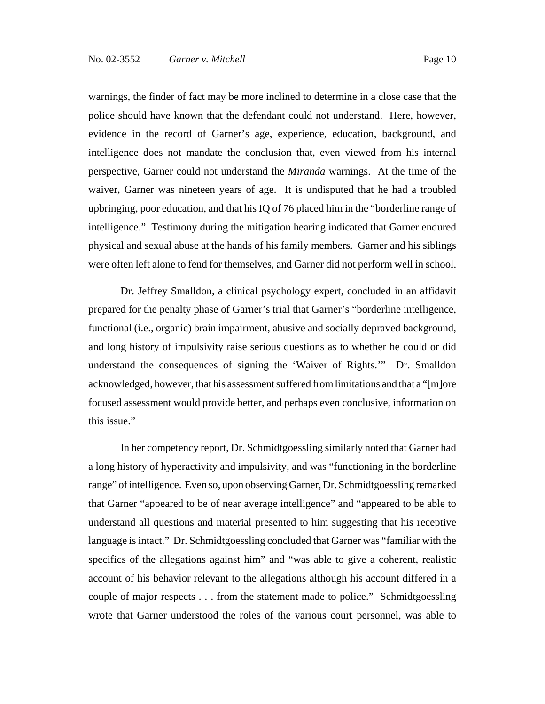warnings, the finder of fact may be more inclined to determine in a close case that the police should have known that the defendant could not understand. Here, however, evidence in the record of Garner's age, experience, education, background, and intelligence does not mandate the conclusion that, even viewed from his internal perspective, Garner could not understand the *Miranda* warnings. At the time of the waiver, Garner was nineteen years of age. It is undisputed that he had a troubled upbringing, poor education, and that his IQ of 76 placed him in the "borderline range of intelligence." Testimony during the mitigation hearing indicated that Garner endured physical and sexual abuse at the hands of his family members. Garner and his siblings were often left alone to fend for themselves, and Garner did not perform well in school.

Dr. Jeffrey Smalldon, a clinical psychology expert, concluded in an affidavit prepared for the penalty phase of Garner's trial that Garner's "borderline intelligence, functional (i.e., organic) brain impairment, abusive and socially depraved background, and long history of impulsivity raise serious questions as to whether he could or did understand the consequences of signing the 'Waiver of Rights.'" Dr. Smalldon acknowledged, however, that his assessment suffered from limitations and that a "[m]ore focused assessment would provide better, and perhaps even conclusive, information on this issue."

In her competency report, Dr. Schmidtgoessling similarly noted that Garner had a long history of hyperactivity and impulsivity, and was "functioning in the borderline range" of intelligence. Even so, upon observing Garner, Dr. Schmidtgoessling remarked that Garner "appeared to be of near average intelligence" and "appeared to be able to understand all questions and material presented to him suggesting that his receptive language is intact." Dr. Schmidtgoessling concluded that Garner was "familiar with the specifics of the allegations against him" and "was able to give a coherent, realistic account of his behavior relevant to the allegations although his account differed in a couple of major respects . . . from the statement made to police." Schmidtgoessling wrote that Garner understood the roles of the various court personnel, was able to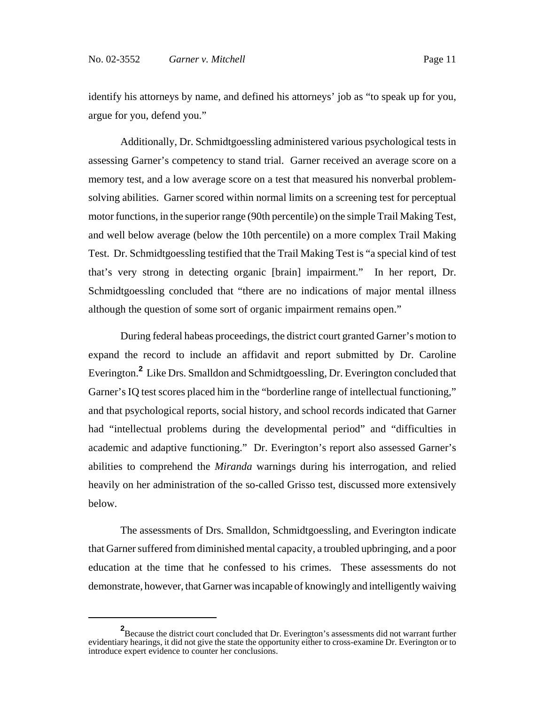identify his attorneys by name, and defined his attorneys' job as "to speak up for you, argue for you, defend you."

Additionally, Dr. Schmidtgoessling administered various psychological tests in assessing Garner's competency to stand trial. Garner received an average score on a memory test, and a low average score on a test that measured his nonverbal problemsolving abilities. Garner scored within normal limits on a screening test for perceptual motor functions, in the superior range (90th percentile) on the simple Trail Making Test, and well below average (below the 10th percentile) on a more complex Trail Making Test. Dr. Schmidtgoessling testified that the Trail Making Test is "a special kind of test that's very strong in detecting organic [brain] impairment." In her report, Dr. Schmidtgoessling concluded that "there are no indications of major mental illness although the question of some sort of organic impairment remains open."

During federal habeas proceedings, the district court granted Garner's motion to expand the record to include an affidavit and report submitted by Dr. Caroline Everington.**<sup>2</sup>** Like Drs. Smalldon and Schmidtgoessling, Dr. Everington concluded that Garner's IQ test scores placed him in the "borderline range of intellectual functioning," and that psychological reports, social history, and school records indicated that Garner had "intellectual problems during the developmental period" and "difficulties in academic and adaptive functioning." Dr. Everington's report also assessed Garner's abilities to comprehend the *Miranda* warnings during his interrogation, and relied heavily on her administration of the so-called Grisso test, discussed more extensively below.

The assessments of Drs. Smalldon, Schmidtgoessling, and Everington indicate that Garner suffered from diminished mental capacity, a troubled upbringing, and a poor education at the time that he confessed to his crimes. These assessments do not demonstrate, however, that Garner was incapable of knowingly and intelligently waiving

<sup>&</sup>lt;sup>2</sup> Because the district court concluded that Dr. Everington's assessments did not warrant further evidentiary hearings, it did not give the state the opportunity either to cross-examine Dr. Everington or to introduce expert evidence to counter her conclusions.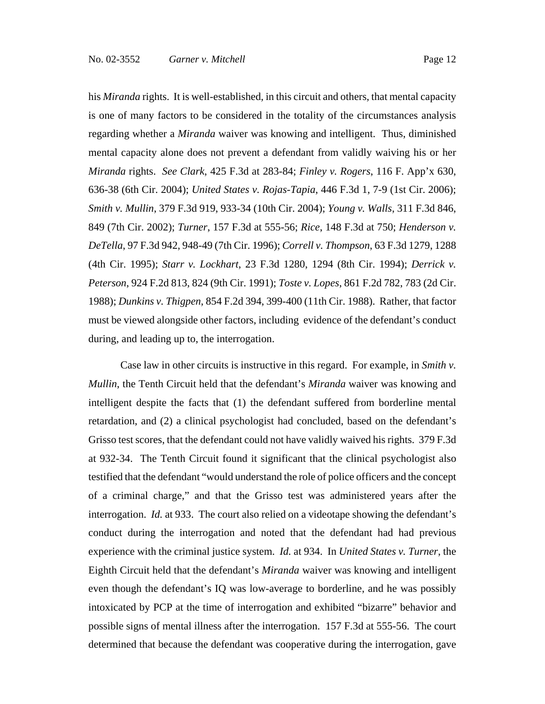his *Miranda* rights. It is well-established, in this circuit and others, that mental capacity is one of many factors to be considered in the totality of the circumstances analysis regarding whether a *Miranda* waiver was knowing and intelligent. Thus, diminished mental capacity alone does not prevent a defendant from validly waiving his or her *Miranda* rights. *See Clark*, 425 F.3d at 283-84; *Finley v. Rogers*, 116 F. App'x 630, 636-38 (6th Cir. 2004); *United States v. Rojas-Tapia*, 446 F.3d 1, 7-9 (1st Cir. 2006); *Smith v. Mullin*, 379 F.3d 919, 933-34 (10th Cir. 2004); *Young v. Walls*, 311 F.3d 846, 849 (7th Cir. 2002); *Turner*, 157 F.3d at 555-56; *Rice*, 148 F.3d at 750; *Henderson v. DeTella*, 97 F.3d 942, 948-49 (7th Cir. 1996); *Correll v. Thompson*, 63 F.3d 1279, 1288 (4th Cir. 1995); *Starr v. Lockhart*, 23 F.3d 1280, 1294 (8th Cir. 1994); *Derrick v. Peterson*, 924 F.2d 813, 824 (9th Cir. 1991); *Toste v. Lopes*, 861 F.2d 782, 783 (2d Cir. 1988); *Dunkins v. Thigpen*, 854 F.2d 394, 399-400 (11th Cir. 1988). Rather, that factor must be viewed alongside other factors, including evidence of the defendant's conduct during, and leading up to, the interrogation.

Case law in other circuits is instructive in this regard. For example, in *Smith v. Mullin*, the Tenth Circuit held that the defendant's *Miranda* waiver was knowing and intelligent despite the facts that (1) the defendant suffered from borderline mental retardation, and (2) a clinical psychologist had concluded, based on the defendant's Grisso test scores, that the defendant could not have validly waived his rights. 379 F.3d at 932-34. The Tenth Circuit found it significant that the clinical psychologist also testified that the defendant "would understand the role of police officers and the concept of a criminal charge," and that the Grisso test was administered years after the interrogation. *Id.* at 933. The court also relied on a videotape showing the defendant's conduct during the interrogation and noted that the defendant had had previous experience with the criminal justice system. *Id.* at 934. In *United States v. Turner*, the Eighth Circuit held that the defendant's *Miranda* waiver was knowing and intelligent even though the defendant's IQ was low-average to borderline, and he was possibly intoxicated by PCP at the time of interrogation and exhibited "bizarre" behavior and possible signs of mental illness after the interrogation. 157 F.3d at 555-56. The court determined that because the defendant was cooperative during the interrogation, gave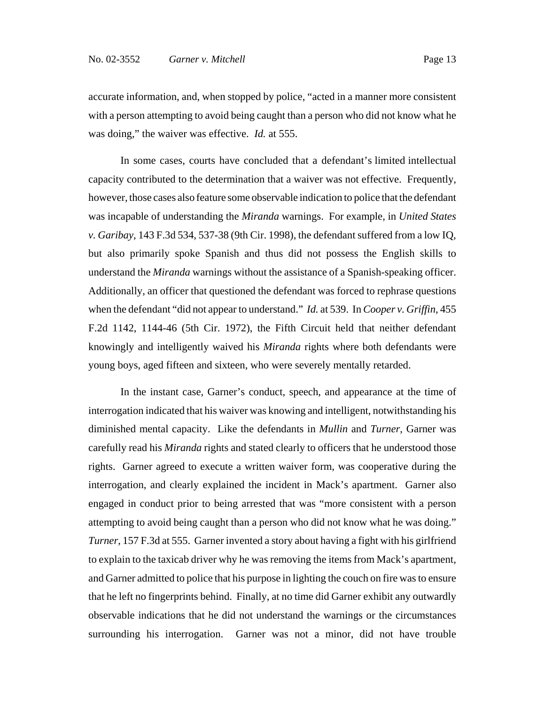accurate information, and, when stopped by police, "acted in a manner more consistent with a person attempting to avoid being caught than a person who did not know what he was doing," the waiver was effective. *Id.* at 555.

 In some cases, courts have concluded that a defendant's limited intellectual capacity contributed to the determination that a waiver was not effective. Frequently, however, those cases also feature some observable indication to police that the defendant was incapable of understanding the *Miranda* warnings. For example, in *United States v. Garibay*, 143 F.3d 534, 537-38 (9th Cir. 1998), the defendant suffered from a low IQ, but also primarily spoke Spanish and thus did not possess the English skills to understand the *Miranda* warnings without the assistance of a Spanish-speaking officer. Additionally, an officer that questioned the defendant was forced to rephrase questions when the defendant "did not appear to understand." *Id.* at 539. In *Cooper v. Griffin*, 455 F.2d 1142, 1144-46 (5th Cir. 1972), the Fifth Circuit held that neither defendant knowingly and intelligently waived his *Miranda* rights where both defendants were young boys, aged fifteen and sixteen, who were severely mentally retarded.

In the instant case, Garner's conduct, speech, and appearance at the time of interrogation indicated that his waiver was knowing and intelligent, notwithstanding his diminished mental capacity. Like the defendants in *Mullin* and *Turner*, Garner was carefully read his *Miranda* rights and stated clearly to officers that he understood those rights. Garner agreed to execute a written waiver form, was cooperative during the interrogation, and clearly explained the incident in Mack's apartment. Garner also engaged in conduct prior to being arrested that was "more consistent with a person attempting to avoid being caught than a person who did not know what he was doing." *Turner*, 157 F.3d at 555. Garner invented a story about having a fight with his girlfriend to explain to the taxicab driver why he was removing the items from Mack's apartment, and Garner admitted to police that his purpose in lighting the couch on fire was to ensure that he left no fingerprints behind. Finally, at no time did Garner exhibit any outwardly observable indications that he did not understand the warnings or the circumstances surrounding his interrogation. Garner was not a minor, did not have trouble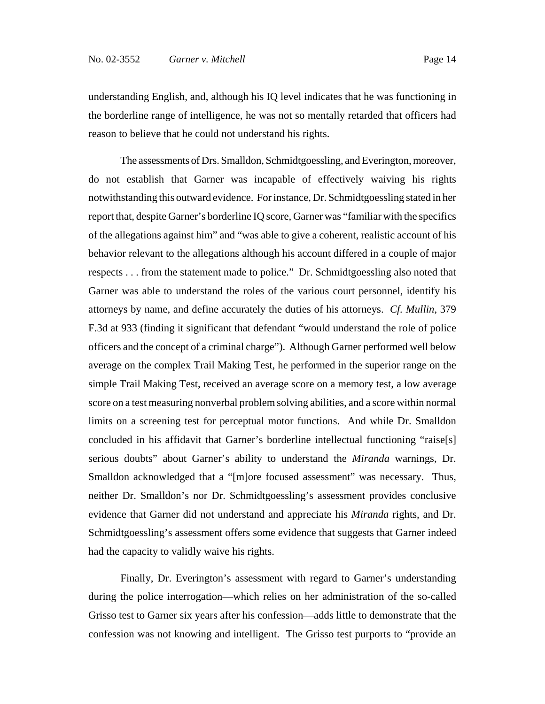understanding English, and, although his IQ level indicates that he was functioning in the borderline range of intelligence, he was not so mentally retarded that officers had reason to believe that he could not understand his rights.

The assessments of Drs. Smalldon, Schmidtgoessling, and Everington, moreover, do not establish that Garner was incapable of effectively waiving his rights notwithstanding this outward evidence. For instance, Dr. Schmidtgoessling stated in her report that, despite Garner's borderline IQ score, Garner was "familiar with the specifics of the allegations against him" and "was able to give a coherent, realistic account of his behavior relevant to the allegations although his account differed in a couple of major respects . . . from the statement made to police." Dr. Schmidtgoessling also noted that Garner was able to understand the roles of the various court personnel, identify his attorneys by name, and define accurately the duties of his attorneys. *Cf. Mullin*, 379 F.3d at 933 (finding it significant that defendant "would understand the role of police officers and the concept of a criminal charge"). Although Garner performed well below average on the complex Trail Making Test, he performed in the superior range on the simple Trail Making Test, received an average score on a memory test, a low average score on a test measuring nonverbal problem solving abilities, and a score within normal limits on a screening test for perceptual motor functions. And while Dr. Smalldon concluded in his affidavit that Garner's borderline intellectual functioning "raise[s] serious doubts" about Garner's ability to understand the *Miranda* warnings, Dr. Smalldon acknowledged that a "[m]ore focused assessment" was necessary. Thus, neither Dr. Smalldon's nor Dr. Schmidtgoessling's assessment provides conclusive evidence that Garner did not understand and appreciate his *Miranda* rights, and Dr. Schmidtgoessling's assessment offers some evidence that suggests that Garner indeed had the capacity to validly waive his rights.

Finally, Dr. Everington's assessment with regard to Garner's understanding during the police interrogation—which relies on her administration of the so-called Grisso test to Garner six years after his confession—adds little to demonstrate that the confession was not knowing and intelligent. The Grisso test purports to "provide an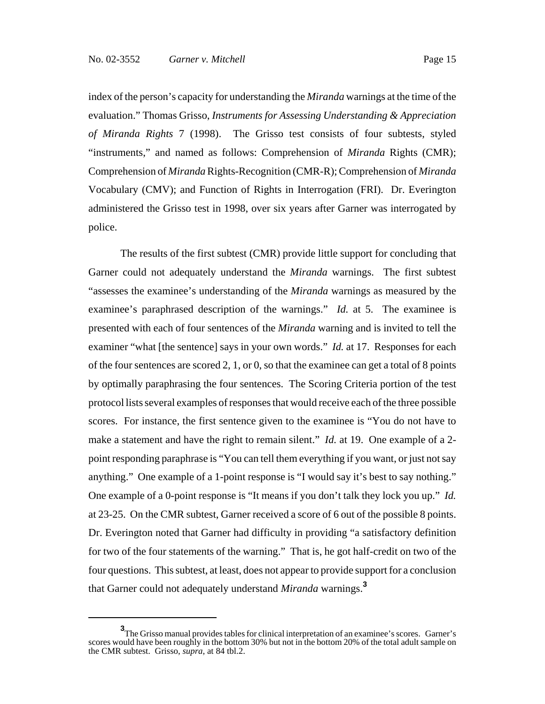index of the person's capacity for understanding the *Miranda* warnings at the time of the evaluation." Thomas Grisso, *Instruments for Assessing Understanding & Appreciation of Miranda Rights* 7 (1998). The Grisso test consists of four subtests, styled "instruments," and named as follows: Comprehension of *Miranda* Rights (CMR); Comprehension of *Miranda* Rights-Recognition (CMR-R); Comprehension of *Miranda* Vocabulary (CMV); and Function of Rights in Interrogation (FRI). Dr. Everington administered the Grisso test in 1998, over six years after Garner was interrogated by police.

The results of the first subtest (CMR) provide little support for concluding that Garner could not adequately understand the *Miranda* warnings. The first subtest "assesses the examinee's understanding of the *Miranda* warnings as measured by the examinee's paraphrased description of the warnings." *Id.* at 5. The examinee is presented with each of four sentences of the *Miranda* warning and is invited to tell the examiner "what [the sentence] says in your own words." *Id.* at 17. Responses for each of the four sentences are scored 2, 1, or 0, so that the examinee can get a total of 8 points by optimally paraphrasing the four sentences. The Scoring Criteria portion of the test protocol lists several examples of responses that would receive each of the three possible scores. For instance, the first sentence given to the examinee is "You do not have to make a statement and have the right to remain silent." *Id.* at 19. One example of a 2point responding paraphrase is "You can tell them everything if you want, or just not say anything." One example of a 1-point response is "I would say it's best to say nothing." One example of a 0-point response is "It means if you don't talk they lock you up." *Id.* at 23-25. On the CMR subtest, Garner received a score of 6 out of the possible 8 points. Dr. Everington noted that Garner had difficulty in providing "a satisfactory definition for two of the four statements of the warning." That is, he got half-credit on two of the four questions. This subtest, at least, does not appear to provide support for a conclusion that Garner could not adequately understand *Miranda* warnings.**<sup>3</sup>**

**<sup>3</sup>** The Grisso manual provides tables for clinical interpretation of an examinee's scores. Garner's scores would have been roughly in the bottom 30% but not in the bottom 20% of the total adult sample on the CMR subtest. Grisso, *supra*, at 84 tbl.2.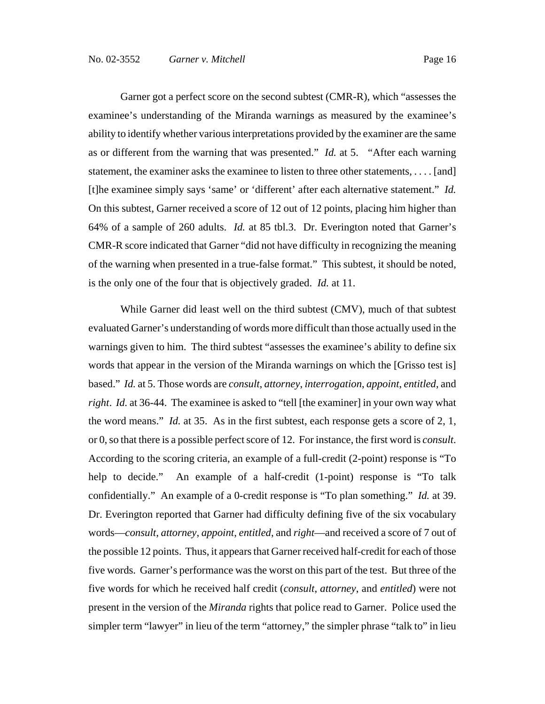Garner got a perfect score on the second subtest (CMR-R), which "assesses the examinee's understanding of the Miranda warnings as measured by the examinee's ability to identify whether various interpretations provided by the examiner are the same as or different from the warning that was presented." *Id.* at 5. "After each warning statement, the examiner asks the examinee to listen to three other statements, . . . . [and] [t]he examinee simply says 'same' or 'different' after each alternative statement." *Id.* On this subtest, Garner received a score of 12 out of 12 points, placing him higher than 64% of a sample of 260 adults. *Id.* at 85 tbl.3. Dr. Everington noted that Garner's CMR-R score indicated that Garner "did not have difficulty in recognizing the meaning of the warning when presented in a true-false format." This subtest, it should be noted, is the only one of the four that is objectively graded. *Id.* at 11.

While Garner did least well on the third subtest (CMV), much of that subtest evaluated Garner's understanding of words more difficult than those actually used in the warnings given to him. The third subtest "assesses the examinee's ability to define six words that appear in the version of the Miranda warnings on which the [Grisso test is] based." *Id.* at 5. Those words are *consult*, *attorney*, *interrogation*, *appoint*, *entitled*, and *right*. *Id.* at 36-44. The examinee is asked to "tell [the examiner] in your own way what the word means." *Id.* at 35. As in the first subtest, each response gets a score of 2, 1, or 0, so that there is a possible perfect score of 12. For instance, the first word is *consult*. According to the scoring criteria, an example of a full-credit (2-point) response is "To help to decide." An example of a half-credit (1-point) response is "To talk confidentially." An example of a 0-credit response is "To plan something." *Id.* at 39. Dr. Everington reported that Garner had difficulty defining five of the six vocabulary words—*consult*, *attorney*, *appoint*, *entitled*, and *right*—and received a score of 7 out of the possible 12 points. Thus, it appears that Garner received half-credit for each of those five words. Garner's performance was the worst on this part of the test. But three of the five words for which he received half credit (*consult*, *attorney*, and *entitled*) were not present in the version of the *Miranda* rights that police read to Garner. Police used the simpler term "lawyer" in lieu of the term "attorney," the simpler phrase "talk to" in lieu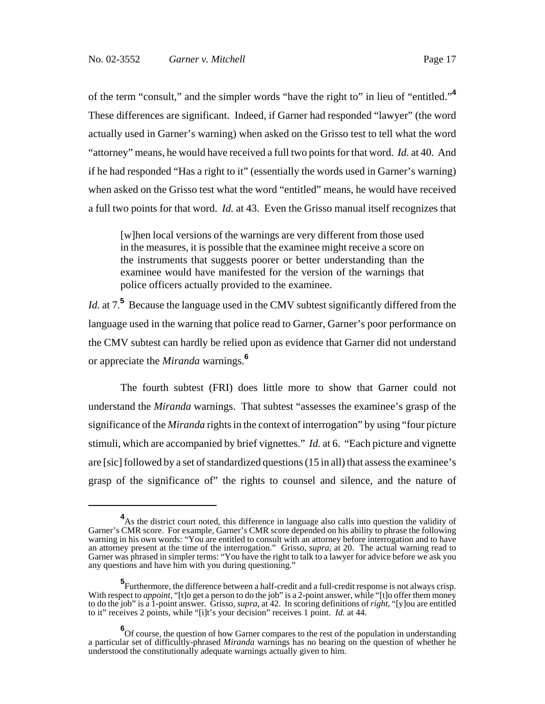of the term "consult," and the simpler words "have the right to" in lieu of "entitled."**<sup>4</sup>** These differences are significant. Indeed, if Garner had responded "lawyer" (the word actually used in Garner's warning) when asked on the Grisso test to tell what the word "attorney" means, he would have received a full two points for that word. *Id.* at 40. And if he had responded "Has a right to it" (essentially the words used in Garner's warning) when asked on the Grisso test what the word "entitled" means, he would have received a full two points for that word. *Id.* at 43. Even the Grisso manual itself recognizes that

[w]hen local versions of the warnings are very different from those used in the measures, it is possible that the examinee might receive a score on the instruments that suggests poorer or better understanding than the examinee would have manifested for the version of the warnings that police officers actually provided to the examinee.

Id. at 7.<sup>5</sup> Because the language used in the CMV subtest significantly differed from the language used in the warning that police read to Garner, Garner's poor performance on the CMV subtest can hardly be relied upon as evidence that Garner did not understand or appreciate the *Miranda* warnings.**<sup>6</sup>**

The fourth subtest (FRI) does little more to show that Garner could not understand the *Miranda* warnings. That subtest "assesses the examinee's grasp of the significance of the *Miranda* rights in the context of interrogation" by using "four picture stimuli, which are accompanied by brief vignettes." *Id.* at 6. "Each picture and vignette are [sic] followed by a set of standardized questions (15 in all) that assess the examinee's grasp of the significance of" the rights to counsel and silence, and the nature of

<sup>&</sup>lt;sup>4</sup> As the district court noted, this difference in language also calls into question the validity of Garner's CMR score. For example, Garner's CMR score depended on his ability to phrase the following warning in his own words: "You are entitled to consult with an attorney before interrogation and to have an attorney present at the time of the interrogation." Grisso, *supra*, at 20. The actual warning read to Garner was phrased in simpler terms: "You have the right to talk to a lawyer for advice before we ask you any questions and have him with you during questioning."

**<sup>5</sup>** Furthermore, the difference between a half-credit and a full-credit response is not always crisp. With respect to *appoint*, "[t]o get a person to do the job" is a 2-point answer, while "[t]o offer them money to do the job" is a 1-point answer. Grisso, *supra*, at 42. In scoring definitions of *right*, "[y]ou are entitled to it" receives 2 points, while "[i]t's your decision" receives 1 point. *Id.* at 44.

<sup>&</sup>lt;sup>6</sup>Of course, the question of how Garner compares to the rest of the population in understanding a particular set of difficultly-phrased *Miranda* warnings has no bearing on the question of whether he understood the constitutionally adequate warnings actually given to him.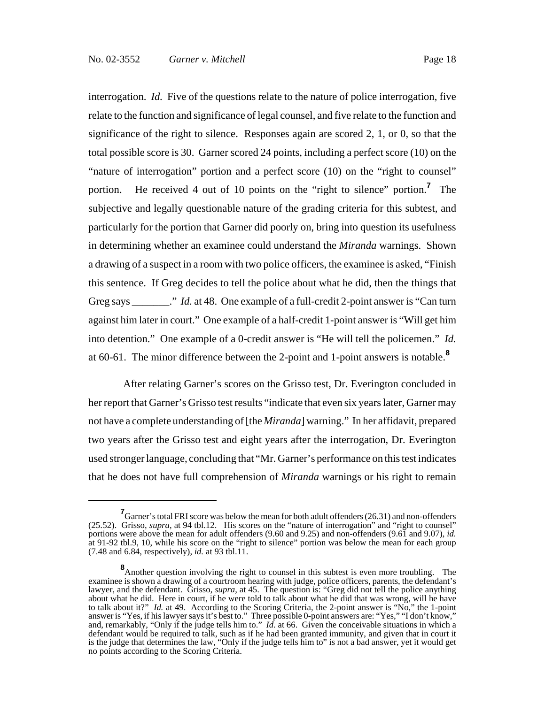interrogation. *Id.* Five of the questions relate to the nature of police interrogation, five relate to the function and significance of legal counsel, and five relate to the function and significance of the right to silence. Responses again are scored 2, 1, or 0, so that the total possible score is 30. Garner scored 24 points, including a perfect score (10) on the "nature of interrogation" portion and a perfect score (10) on the "right to counsel" portion. He received 4 out of 10 points on the "right to silence" portion.**<sup>7</sup>** The subjective and legally questionable nature of the grading criteria for this subtest, and particularly for the portion that Garner did poorly on, bring into question its usefulness in determining whether an examinee could understand the *Miranda* warnings. Shown a drawing of a suspect in a room with two police officers, the examinee is asked, "Finish this sentence. If Greg decides to tell the police about what he did, then the things that Greg says \_\_\_\_\_\_\_." *Id.* at 48. One example of a full-credit 2-point answer is "Can turn" against him later in court." One example of a half-credit 1-point answer is "Will get him into detention." One example of a 0-credit answer is "He will tell the policemen." *Id.* at 60-61. The minor difference between the 2-point and 1-point answers is notable.**<sup>8</sup>**

 After relating Garner's scores on the Grisso test, Dr. Everington concluded in her report that Garner's Grisso test results "indicate that even six years later, Garner may not have a complete understanding of [the *Miranda*] warning." In her affidavit, prepared two years after the Grisso test and eight years after the interrogation, Dr. Everington used stronger language, concluding that "Mr. Garner's performance on this test indicates that he does not have full comprehension of *Miranda* warnings or his right to remain

**<sup>7</sup>** Garner's total FRI score was below the mean for both adult offenders (26.31) and non-offenders (25.52). Grisso, *supra*, at 94 tbl.12. His scores on the "nature of interrogation" and "right to counsel" portions were above the mean for adult offenders (9.60 and 9.25) and non-offenders (9.61 and 9.07), *id.* at 91-92 tbl.9, 10, while his score on the "right to silence" portion was below the mean for each group (7.48 and 6.84, respectively), *id.* at 93 tbl.11.

**<sup>8</sup>**<br>Another question involving the right to counsel in this subtest is even more troubling. The examinee is shown a drawing of a courtroom hearing with judge, police officers, parents, the defendant's lawyer, and the defendant. Grisso, *supra*, at 45. The question is: "Greg did not tell the police anything about what he did. Here in court, if he were told to talk about what he did that was wrong, will he have to talk about it?" *Id.* at 49. According to the Scoring Criteria, the 2-point answer is "No," the 1-point answer is "Yes, if his lawyer says it's best to." Three possible 0-point answers are: "Yes," "I don't know," and, remarkably, "Only if the judge tells him to." *Id.* at 66. Given the conceivable situations in which a defendant would be required to talk, such as if he had been granted immunity, and given that in court it is the judge that determines the law, "Only if the judge tells him to" is not a bad answer, yet it would get no points according to the Scoring Criteria.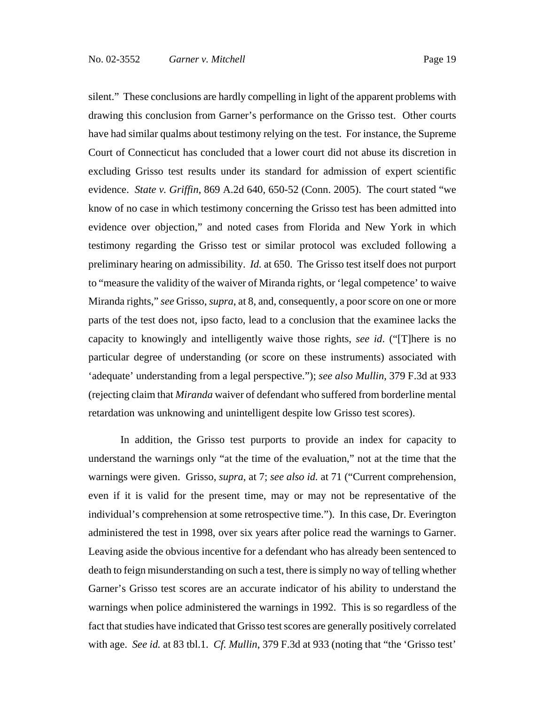silent." These conclusions are hardly compelling in light of the apparent problems with drawing this conclusion from Garner's performance on the Grisso test. Other courts have had similar qualms about testimony relying on the test. For instance, the Supreme Court of Connecticut has concluded that a lower court did not abuse its discretion in excluding Grisso test results under its standard for admission of expert scientific evidence. *State v. Griffin*, 869 A.2d 640, 650-52 (Conn. 2005). The court stated "we know of no case in which testimony concerning the Grisso test has been admitted into evidence over objection," and noted cases from Florida and New York in which testimony regarding the Grisso test or similar protocol was excluded following a preliminary hearing on admissibility. *Id.* at 650. The Grisso test itself does not purport to "measure the validity of the waiver of Miranda rights, or 'legal competence' to waive Miranda rights," *see* Grisso, *supra*, at 8, and, consequently, a poor score on one or more parts of the test does not, ipso facto, lead to a conclusion that the examinee lacks the capacity to knowingly and intelligently waive those rights, *see id*. ("[T]here is no particular degree of understanding (or score on these instruments) associated with 'adequate' understanding from a legal perspective."); *see also Mullin*, 379 F.3d at 933 (rejecting claim that *Miranda* waiver of defendant who suffered from borderline mental retardation was unknowing and unintelligent despite low Grisso test scores).

In addition, the Grisso test purports to provide an index for capacity to understand the warnings only "at the time of the evaluation," not at the time that the warnings were given. Grisso, *supra*, at 7; *see also id.* at 71 ("Current comprehension, even if it is valid for the present time, may or may not be representative of the individual's comprehension at some retrospective time."). In this case, Dr. Everington administered the test in 1998, over six years after police read the warnings to Garner. Leaving aside the obvious incentive for a defendant who has already been sentenced to death to feign misunderstanding on such a test, there is simply no way of telling whether Garner's Grisso test scores are an accurate indicator of his ability to understand the warnings when police administered the warnings in 1992. This is so regardless of the fact that studies have indicated that Grisso test scores are generally positively correlated with age. *See id.* at 83 tbl.1. *Cf. Mullin*, 379 F.3d at 933 (noting that "the 'Grisso test'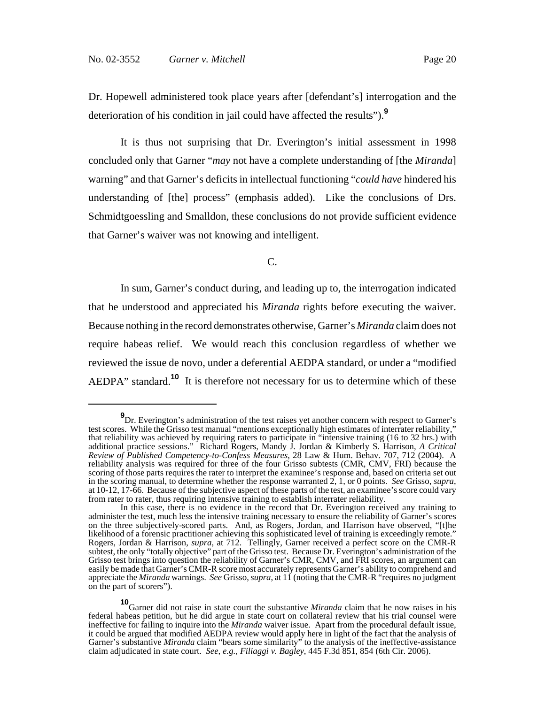Dr. Hopewell administered took place years after [defendant's] interrogation and the deterioration of his condition in jail could have affected the results").**<sup>9</sup>**

It is thus not surprising that Dr. Everington's initial assessment in 1998 concluded only that Garner "*may* not have a complete understanding of [the *Miranda*] warning" and that Garner's deficits in intellectual functioning "*could have* hindered his understanding of [the] process" (emphasis added). Like the conclusions of Drs. Schmidtgoessling and Smalldon, these conclusions do not provide sufficient evidence that Garner's waiver was not knowing and intelligent.

C.

In sum, Garner's conduct during, and leading up to, the interrogation indicated that he understood and appreciated his *Miranda* rights before executing the waiver. Because nothing in the record demonstrates otherwise, Garner's *Miranda* claim does not require habeas relief. We would reach this conclusion regardless of whether we reviewed the issue de novo, under a deferential AEDPA standard, or under a "modified AEDPA" standard.**<sup>10</sup>** It is therefore not necessary for us to determine which of these

**<sup>9</sup>**<br>
Dr. Everington's administration of the test raises yet another concern with respect to Garner's test scores. While the Grisso test manual "mentions exceptionally high estimates of interrater reliability," that reliability was achieved by requiring raters to participate in "intensive training (16 to 32 hrs.) with additional practice sessions." Richard Rogers, Mandy J. Jordan & Kimberly S. Harrison, *A Critical Review of Published Competency-to-Confess Measures*, 28 Law & Hum. Behav. 707, 712 (2004). A reliability analysis was required for three of the four Grisso subtests (CMR, CMV, FRI) because the scoring of those parts requires the rater to interpret the examinee's response and, based on criteria set out in the scoring manual, to determine whether the response warranted  $\hat{2}$ , 1, or 0 points. See Grisso, supra, at 10-12, 17-66. Because of the subjective aspect of these parts of the test, an examinee's score could vary from rater to rater, thus requiring intensive training to establish interrater reliability.

In this case, there is no evidence in the record that Dr. Everington received any training to administer the test, much less the intensive training necessary to ensure the reliability of Garner's scores on the three subjectively-scored parts. And, as Rogers, Jordan, and Harrison have observed, "[t]he likelihood of a forensic practitioner achieving this sophisticated level of training is exceedingly remote." Rogers, Jordan & Harrison, *supra*, at 712. Tellingly, Garner received a perfect score on the CMR-R subtest, the only "totally objective" part of the Grisso test. Because Dr. Everington's administration of the Grisso test brings into question the reliability of Garner's CMR, CMV, and FRI scores, an argument can easily be made that Garner's CMR-R score most accurately represents Garner's ability to comprehend and appreciate the *Miranda* warnings. *See* Grisso, *supra*, at 11 (noting that the CMR-R "requires no judgment on the part of scorers").

**<sup>10</sup>**Garner did not raise in state court the substantive *Miranda* claim that he now raises in his federal habeas petition, but he did argue in state court on collateral review that his trial counsel were ineffective for failing to inquire into the *Miranda* waiver issue. Apart from the procedural default issue, it could be argued that modified AEDPA review would apply here in light of the fact that the analysis of Garner's substantive *Miranda* claim "bears some similarity" to the analysis of the ineffective-assistance claim adjudicated in state court. *See, e.g.*, *Filiaggi v. Bagley*, 445 F.3d 851, 854 (6th Cir. 2006).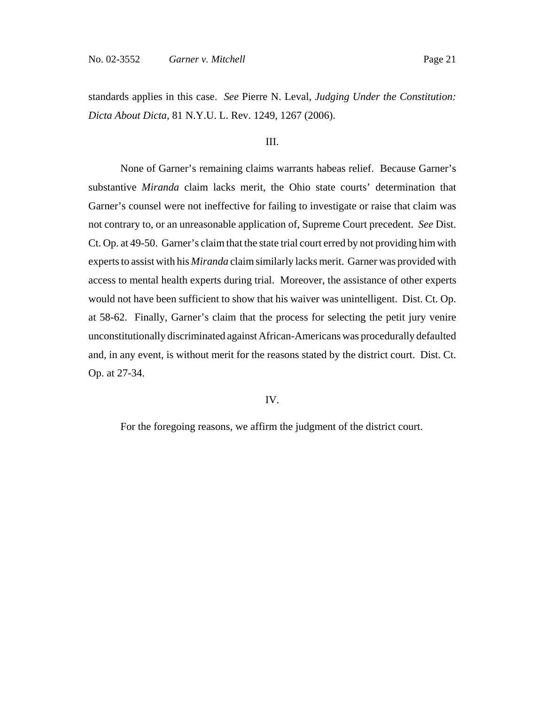#### III.

None of Garner's remaining claims warrants habeas relief. Because Garner's substantive *Miranda* claim lacks merit, the Ohio state courts' determination that Garner's counsel were not ineffective for failing to investigate or raise that claim was not contrary to, or an unreasonable application of, Supreme Court precedent. *See* Dist. Ct. Op. at 49-50. Garner's claim that the state trial court erred by not providing him with experts to assist with his *Miranda* claim similarly lacks merit. Garner was provided with access to mental health experts during trial. Moreover, the assistance of other experts would not have been sufficient to show that his waiver was unintelligent. Dist. Ct. Op. at 58-62. Finally, Garner's claim that the process for selecting the petit jury venire unconstitutionally discriminated against African-Americans was procedurally defaulted and, in any event, is without merit for the reasons stated by the district court. Dist. Ct. Op. at 27-34.

#### IV.

For the foregoing reasons, we affirm the judgment of the district court.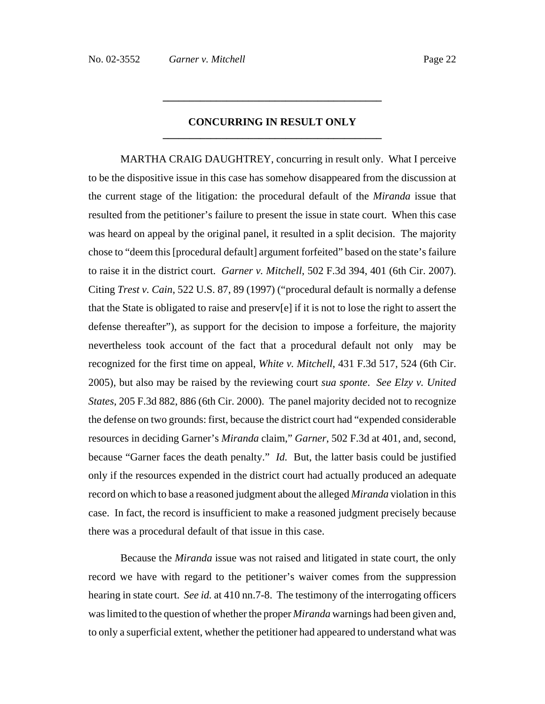## **CONCURRING IN RESULT ONLY \_\_\_\_\_\_\_\_\_\_\_\_\_\_\_\_\_\_\_\_\_\_\_\_\_\_\_\_\_\_\_\_\_\_\_\_\_\_\_\_\_**

**\_\_\_\_\_\_\_\_\_\_\_\_\_\_\_\_\_\_\_\_\_\_\_\_\_\_\_\_\_\_\_\_\_\_\_\_\_\_\_\_\_**

MARTHA CRAIG DAUGHTREY, concurring in result only. What I perceive to be the dispositive issue in this case has somehow disappeared from the discussion at the current stage of the litigation: the procedural default of the *Miranda* issue that resulted from the petitioner's failure to present the issue in state court. When this case was heard on appeal by the original panel, it resulted in a split decision. The majority chose to "deem this [procedural default] argument forfeited" based on the state's failure to raise it in the district court. *Garner v. Mitchell*, 502 F.3d 394, 401 (6th Cir. 2007). Citing *Trest v. Cain*, 522 U.S. 87, 89 (1997) ("procedural default is normally a defense that the State is obligated to raise and preserv[e] if it is not to lose the right to assert the defense thereafter"), as support for the decision to impose a forfeiture, the majority nevertheless took account of the fact that a procedural default not only may be recognized for the first time on appeal, *White v. Mitchell*, 431 F.3d 517, 524 (6th Cir. 2005), but also may be raised by the reviewing court *sua sponte*. *See Elzy v. United States*, 205 F.3d 882, 886 (6th Cir. 2000). The panel majority decided not to recognize the defense on two grounds: first, because the district court had "expended considerable resources in deciding Garner's *Miranda* claim," *Garner*, 502 F.3d at 401, and, second, because "Garner faces the death penalty." *Id.* But, the latter basis could be justified only if the resources expended in the district court had actually produced an adequate record on which to base a reasoned judgment about the alleged *Miranda* violation in this case. In fact, the record is insufficient to make a reasoned judgment precisely because there was a procedural default of that issue in this case.

Because the *Miranda* issue was not raised and litigated in state court, the only record we have with regard to the petitioner's waiver comes from the suppression hearing in state court. *See id.* at 410 nn.7-8. The testimony of the interrogating officers was limited to the question of whether the proper *Miranda* warnings had been given and, to only a superficial extent, whether the petitioner had appeared to understand what was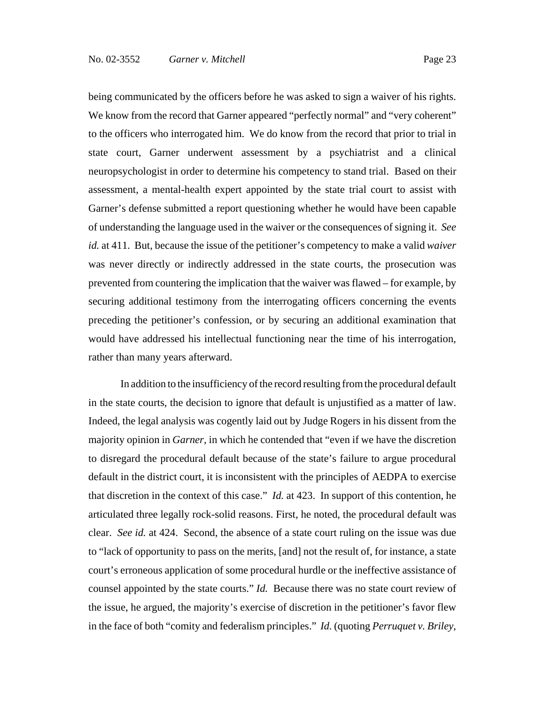being communicated by the officers before he was asked to sign a waiver of his rights. We know from the record that Garner appeared "perfectly normal" and "very coherent" to the officers who interrogated him. We do know from the record that prior to trial in state court, Garner underwent assessment by a psychiatrist and a clinical neuropsychologist in order to determine his competency to stand trial. Based on their assessment, a mental-health expert appointed by the state trial court to assist with Garner's defense submitted a report questioning whether he would have been capable of understanding the language used in the waiver or the consequences of signing it. *See id.* at 411. But, because the issue of the petitioner's competency to make a valid *waiver* was never directly or indirectly addressed in the state courts, the prosecution was prevented from countering the implication that the waiver was flawed – for example, by securing additional testimony from the interrogating officers concerning the events preceding the petitioner's confession, or by securing an additional examination that would have addressed his intellectual functioning near the time of his interrogation, rather than many years afterward.

In addition to the insufficiency of the record resulting from the procedural default in the state courts, the decision to ignore that default is unjustified as a matter of law. Indeed, the legal analysis was cogently laid out by Judge Rogers in his dissent from the majority opinion in *Garner*, in which he contended that "even if we have the discretion to disregard the procedural default because of the state's failure to argue procedural default in the district court, it is inconsistent with the principles of AEDPA to exercise that discretion in the context of this case." *Id.* at 423. In support of this contention, he articulated three legally rock-solid reasons. First, he noted, the procedural default was clear. *See id.* at 424. Second, the absence of a state court ruling on the issue was due to "lack of opportunity to pass on the merits, [and] not the result of, for instance, a state court's erroneous application of some procedural hurdle or the ineffective assistance of counsel appointed by the state courts." *Id.* Because there was no state court review of the issue, he argued, the majority's exercise of discretion in the petitioner's favor flew in the face of both "comity and federalism principles." *Id.* (quoting *Perruquet v. Briley*,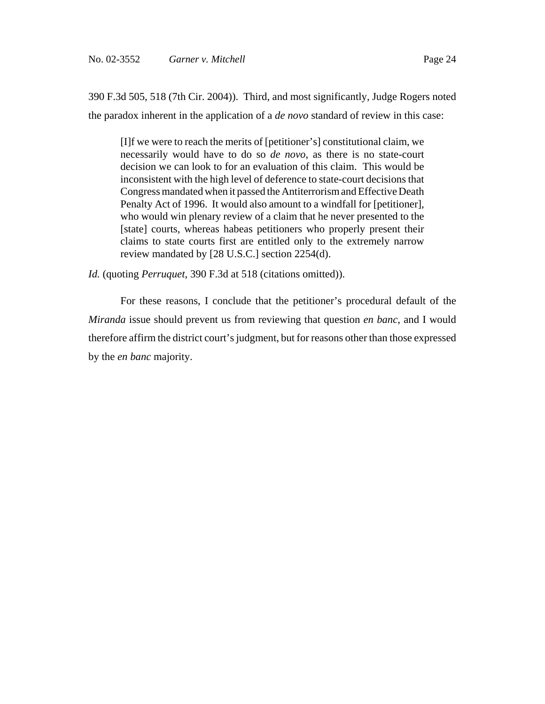390 F.3d 505, 518 (7th Cir. 2004)). Third, and most significantly, Judge Rogers noted the paradox inherent in the application of a *de novo* standard of review in this case:

[I]f we were to reach the merits of [petitioner's] constitutional claim, we necessarily would have to do so *de novo*, as there is no state-court decision we can look to for an evaluation of this claim. This would be inconsistent with the high level of deference to state-court decisions that Congress mandated when it passed the Antiterrorism and Effective Death Penalty Act of 1996. It would also amount to a windfall for [petitioner], who would win plenary review of a claim that he never presented to the [state] courts, whereas habeas petitioners who properly present their claims to state courts first are entitled only to the extremely narrow review mandated by [28 U.S.C.] section 2254(d).

*Id.* (quoting *Perruquet*, 390 F.3d at 518 (citations omitted)).

For these reasons, I conclude that the petitioner's procedural default of the *Miranda* issue should prevent us from reviewing that question *en banc*, and I would therefore affirm the district court's judgment, but for reasons other than those expressed by the *en banc* majority.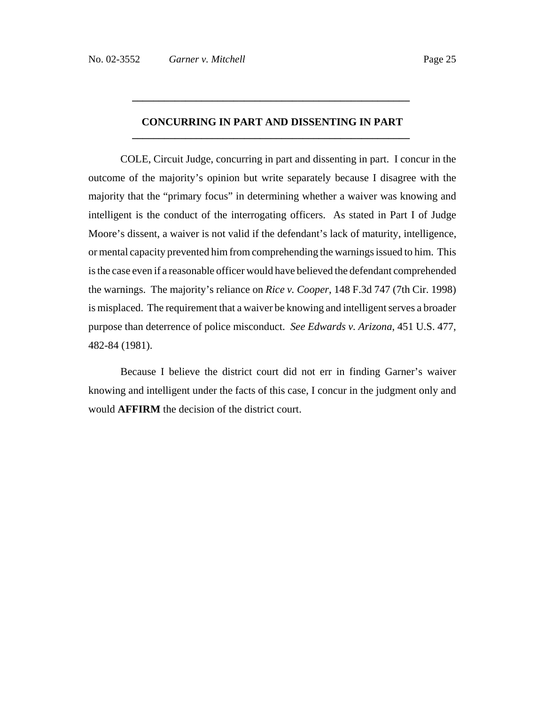## **CONCURRING IN PART AND DISSENTING IN PART \_\_\_\_\_\_\_\_\_\_\_\_\_\_\_\_\_\_\_\_\_\_\_\_\_\_\_\_\_\_\_\_\_\_\_\_\_\_\_\_\_\_\_\_\_\_\_\_\_\_\_\_**

**\_\_\_\_\_\_\_\_\_\_\_\_\_\_\_\_\_\_\_\_\_\_\_\_\_\_\_\_\_\_\_\_\_\_\_\_\_\_\_\_\_\_\_\_\_\_\_\_\_\_\_\_** 

COLE, Circuit Judge, concurring in part and dissenting in part. I concur in the outcome of the majority's opinion but write separately because I disagree with the majority that the "primary focus" in determining whether a waiver was knowing and intelligent is the conduct of the interrogating officers. As stated in Part I of Judge Moore's dissent, a waiver is not valid if the defendant's lack of maturity, intelligence, or mental capacity prevented him from comprehending the warnings issued to him. This is the case even if a reasonable officer would have believed the defendant comprehended the warnings. The majority's reliance on *Rice v. Cooper*, 148 F.3d 747 (7th Cir. 1998) is misplaced. The requirement that a waiver be knowing and intelligent serves a broader purpose than deterrence of police misconduct. *See Edwards v. Arizona*, 451 U.S. 477, 482-84 (1981).

Because I believe the district court did not err in finding Garner's waiver knowing and intelligent under the facts of this case, I concur in the judgment only and would **AFFIRM** the decision of the district court.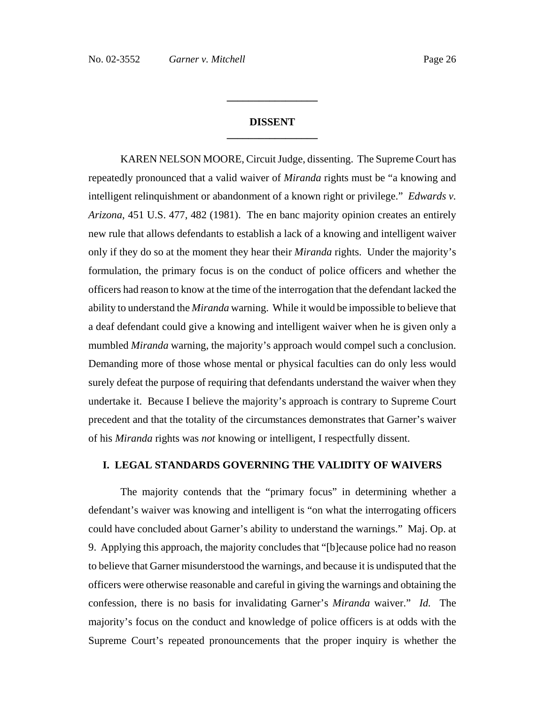## **DISSENT \_\_\_\_\_\_\_\_\_\_\_\_\_\_\_\_\_**

**\_\_\_\_\_\_\_\_\_\_\_\_\_\_\_\_\_**

KAREN NELSON MOORE, Circuit Judge, dissenting. The Supreme Court has repeatedly pronounced that a valid waiver of *Miranda* rights must be "a knowing and intelligent relinquishment or abandonment of a known right or privilege." *Edwards v. Arizona*, 451 U.S. 477, 482 (1981). The en banc majority opinion creates an entirely new rule that allows defendants to establish a lack of a knowing and intelligent waiver only if they do so at the moment they hear their *Miranda* rights. Under the majority's formulation, the primary focus is on the conduct of police officers and whether the officers had reason to know at the time of the interrogation that the defendant lacked the ability to understand the *Miranda* warning. While it would be impossible to believe that a deaf defendant could give a knowing and intelligent waiver when he is given only a mumbled *Miranda* warning, the majority's approach would compel such a conclusion. Demanding more of those whose mental or physical faculties can do only less would surely defeat the purpose of requiring that defendants understand the waiver when they undertake it. Because I believe the majority's approach is contrary to Supreme Court precedent and that the totality of the circumstances demonstrates that Garner's waiver of his *Miranda* rights was *not* knowing or intelligent, I respectfully dissent.

## **I. LEGAL STANDARDS GOVERNING THE VALIDITY OF WAIVERS**

The majority contends that the "primary focus" in determining whether a defendant's waiver was knowing and intelligent is "on what the interrogating officers could have concluded about Garner's ability to understand the warnings." Maj. Op. at 9. Applying this approach, the majority concludes that "[b]ecause police had no reason to believe that Garner misunderstood the warnings, and because it is undisputed that the officers were otherwise reasonable and careful in giving the warnings and obtaining the confession, there is no basis for invalidating Garner's *Miranda* waiver." *Id.* The majority's focus on the conduct and knowledge of police officers is at odds with the Supreme Court's repeated pronouncements that the proper inquiry is whether the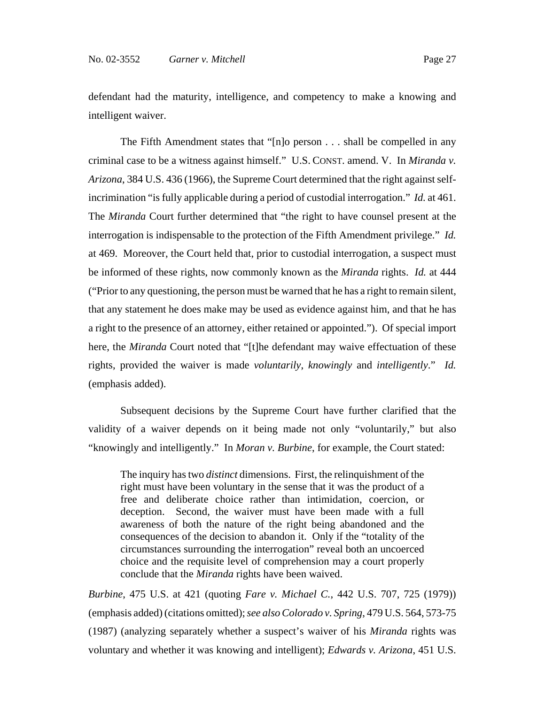defendant had the maturity, intelligence, and competency to make a knowing and intelligent waiver.

The Fifth Amendment states that "[n]o person . . . shall be compelled in any criminal case to be a witness against himself." U.S. CONST. amend. V. In *Miranda v. Arizona*, 384 U.S. 436 (1966), the Supreme Court determined that the right against selfincrimination "is fully applicable during a period of custodial interrogation." *Id.* at 461. The *Miranda* Court further determined that "the right to have counsel present at the interrogation is indispensable to the protection of the Fifth Amendment privilege." *Id.* at 469. Moreover, the Court held that, prior to custodial interrogation, a suspect must be informed of these rights, now commonly known as the *Miranda* rights. *Id.* at 444 ("Prior to any questioning, the person must be warned that he has a right to remain silent, that any statement he does make may be used as evidence against him, and that he has a right to the presence of an attorney, either retained or appointed."). Of special import here, the *Miranda* Court noted that "[t]he defendant may waive effectuation of these rights, provided the waiver is made *voluntarily*, *knowingly* and *intelligently*." *Id.* (emphasis added).

Subsequent decisions by the Supreme Court have further clarified that the validity of a waiver depends on it being made not only "voluntarily," but also "knowingly and intelligently." In *Moran v. Burbine*, for example, the Court stated:

The inquiry has two *distinct* dimensions. First, the relinquishment of the right must have been voluntary in the sense that it was the product of a free and deliberate choice rather than intimidation, coercion, or deception. Second, the waiver must have been made with a full awareness of both the nature of the right being abandoned and the consequences of the decision to abandon it. Only if the "totality of the circumstances surrounding the interrogation" reveal both an uncoerced choice and the requisite level of comprehension may a court properly conclude that the *Miranda* rights have been waived.

*Burbine*, 475 U.S. at 421 (quoting *Fare v. Michael C.*, 442 U.S. 707, 725 (1979)) (emphasis added) (citations omitted); *see alsoColorado v. Spring*, 479 U.S. 564, 573-75 (1987) (analyzing separately whether a suspect's waiver of his *Miranda* rights was voluntary and whether it was knowing and intelligent); *Edwards v. Arizona*, 451 U.S.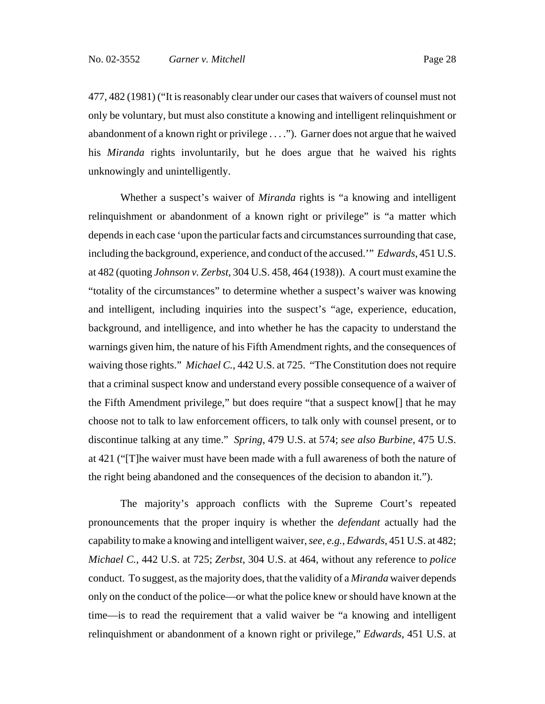477, 482 (1981) ("It is reasonably clear under our cases that waivers of counsel must not only be voluntary, but must also constitute a knowing and intelligent relinquishment or abandonment of a known right or privilege . . . ."). Garner does not argue that he waived his *Miranda* rights involuntarily, but he does argue that he waived his rights unknowingly and unintelligently.

Whether a suspect's waiver of *Miranda* rights is "a knowing and intelligent relinquishment or abandonment of a known right or privilege" is "a matter which depends in each case 'upon the particular facts and circumstances surrounding that case, including the background, experience, and conduct of the accused.'" *Edwards*, 451 U.S. at 482 (quoting *Johnson v. Zerbst*, 304 U.S. 458, 464 (1938)). A court must examine the "totality of the circumstances" to determine whether a suspect's waiver was knowing and intelligent, including inquiries into the suspect's "age, experience, education, background, and intelligence, and into whether he has the capacity to understand the warnings given him, the nature of his Fifth Amendment rights, and the consequences of waiving those rights." *Michael C.*, 442 U.S. at 725. "The Constitution does not require that a criminal suspect know and understand every possible consequence of a waiver of the Fifth Amendment privilege," but does require "that a suspect know[] that he may choose not to talk to law enforcement officers, to talk only with counsel present, or to discontinue talking at any time." *Spring*, 479 U.S. at 574; *see also Burbine*, 475 U.S. at 421 ("[T]he waiver must have been made with a full awareness of both the nature of the right being abandoned and the consequences of the decision to abandon it.").

The majority's approach conflicts with the Supreme Court's repeated pronouncements that the proper inquiry is whether the *defendant* actually had the capability to make a knowing and intelligent waiver, *see, e.g.*, *Edwards*, 451 U.S. at 482; *Michael C.*, 442 U.S. at 725; *Zerbst*, 304 U.S. at 464, without any reference to *police* conduct. To suggest, as the majority does, that the validity of a *Miranda* waiver depends only on the conduct of the police—or what the police knew or should have known at the time—is to read the requirement that a valid waiver be "a knowing and intelligent relinquishment or abandonment of a known right or privilege," *Edwards*, 451 U.S. at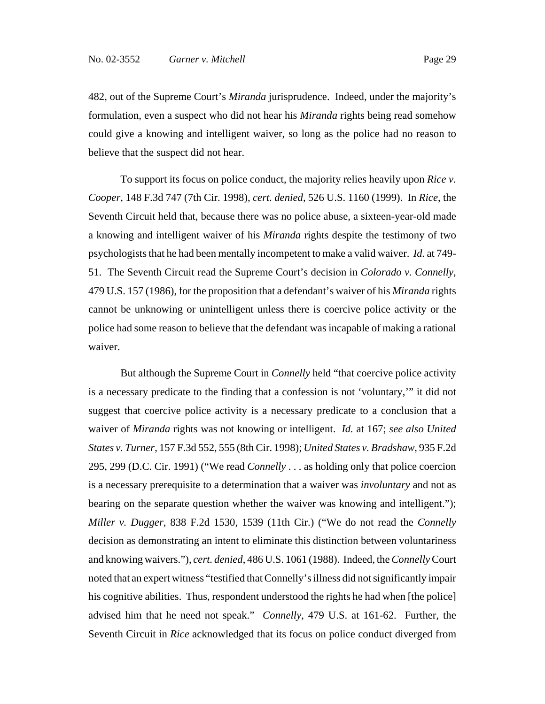482, out of the Supreme Court's *Miranda* jurisprudence. Indeed, under the majority's formulation, even a suspect who did not hear his *Miranda* rights being read somehow could give a knowing and intelligent waiver, so long as the police had no reason to believe that the suspect did not hear.

To support its focus on police conduct, the majority relies heavily upon *Rice v. Cooper*, 148 F.3d 747 (7th Cir. 1998), *cert. denied*, 526 U.S. 1160 (1999). In *Rice*, the Seventh Circuit held that, because there was no police abuse, a sixteen-year-old made a knowing and intelligent waiver of his *Miranda* rights despite the testimony of two psychologists that he had been mentally incompetent to make a valid waiver. *Id.* at 749- 51. The Seventh Circuit read the Supreme Court's decision in *Colorado v. Connelly*, 479 U.S. 157 (1986), for the proposition that a defendant's waiver of his *Miranda* rights cannot be unknowing or unintelligent unless there is coercive police activity or the police had some reason to believe that the defendant was incapable of making a rational waiver.

But although the Supreme Court in *Connelly* held "that coercive police activity is a necessary predicate to the finding that a confession is not 'voluntary,'" it did not suggest that coercive police activity is a necessary predicate to a conclusion that a waiver of *Miranda* rights was not knowing or intelligent. *Id.* at 167; *see also United States v. Turner*, 157 F.3d 552, 555 (8th Cir. 1998); *United States v. Bradshaw*, 935 F.2d 295, 299 (D.C. Cir. 1991) ("We read *Connelly* . . . as holding only that police coercion is a necessary prerequisite to a determination that a waiver was *involuntary* and not as bearing on the separate question whether the waiver was knowing and intelligent."); *Miller v. Dugger*, 838 F.2d 1530, 1539 (11th Cir.) ("We do not read the *Connelly* decision as demonstrating an intent to eliminate this distinction between voluntariness and knowing waivers."), *cert. denied*, 486 U.S. 1061 (1988). Indeed, the *Connelly* Court noted that an expert witness "testified that Connelly's illness did not significantly impair his cognitive abilities. Thus, respondent understood the rights he had when [the police] advised him that he need not speak." *Connelly*, 479 U.S. at 161-62. Further, the Seventh Circuit in *Rice* acknowledged that its focus on police conduct diverged from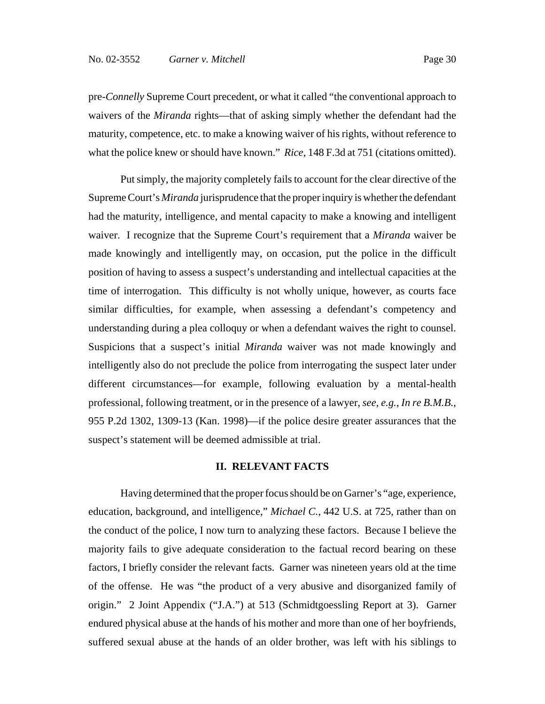pre-*Connelly* Supreme Court precedent, or what it called "the conventional approach to waivers of the *Miranda* rights—that of asking simply whether the defendant had the maturity, competence, etc. to make a knowing waiver of his rights, without reference to what the police knew or should have known." *Rice*, 148 F.3d at 751 (citations omitted).

Put simply, the majority completely fails to account for the clear directive of the Supreme Court's *Miranda* jurisprudence that the proper inquiry is whether the defendant had the maturity, intelligence, and mental capacity to make a knowing and intelligent waiver. I recognize that the Supreme Court's requirement that a *Miranda* waiver be made knowingly and intelligently may, on occasion, put the police in the difficult position of having to assess a suspect's understanding and intellectual capacities at the time of interrogation. This difficulty is not wholly unique, however, as courts face similar difficulties, for example, when assessing a defendant's competency and understanding during a plea colloquy or when a defendant waives the right to counsel. Suspicions that a suspect's initial *Miranda* waiver was not made knowingly and intelligently also do not preclude the police from interrogating the suspect later under different circumstances—for example, following evaluation by a mental-health professional, following treatment, or in the presence of a lawyer, *see, e.g.*, *In re B.M.B.*, 955 P.2d 1302, 1309-13 (Kan. 1998)—if the police desire greater assurances that the suspect's statement will be deemed admissible at trial.

#### **II. RELEVANT FACTS**

Having determined that the proper focus should be on Garner's "age, experience, education, background, and intelligence," *Michael C.*, 442 U.S. at 725, rather than on the conduct of the police, I now turn to analyzing these factors. Because I believe the majority fails to give adequate consideration to the factual record bearing on these factors, I briefly consider the relevant facts. Garner was nineteen years old at the time of the offense. He was "the product of a very abusive and disorganized family of origin." 2 Joint Appendix ("J.A.") at 513 (Schmidtgoessling Report at 3). Garner endured physical abuse at the hands of his mother and more than one of her boyfriends, suffered sexual abuse at the hands of an older brother, was left with his siblings to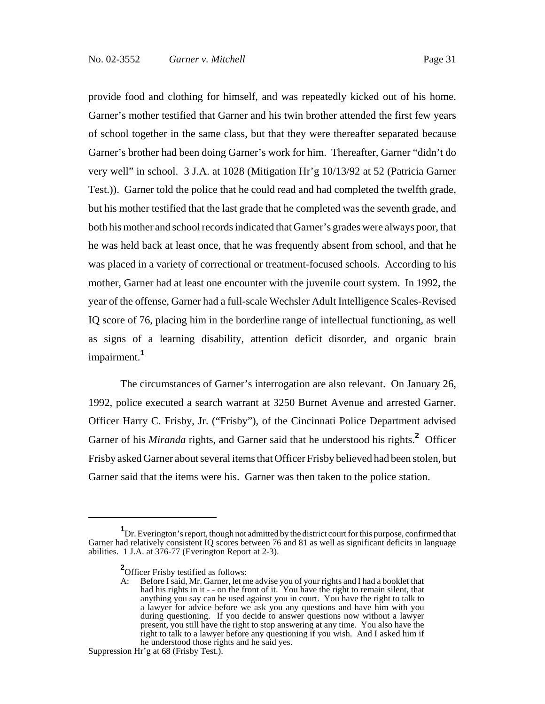provide food and clothing for himself, and was repeatedly kicked out of his home. Garner's mother testified that Garner and his twin brother attended the first few years of school together in the same class, but that they were thereafter separated because Garner's brother had been doing Garner's work for him. Thereafter, Garner "didn't do very well" in school. 3 J.A. at 1028 (Mitigation Hr'g 10/13/92 at 52 (Patricia Garner Test.)). Garner told the police that he could read and had completed the twelfth grade, but his mother testified that the last grade that he completed was the seventh grade, and both his mother and school records indicated that Garner's grades were always poor, that he was held back at least once, that he was frequently absent from school, and that he was placed in a variety of correctional or treatment-focused schools. According to his mother, Garner had at least one encounter with the juvenile court system. In 1992, the year of the offense, Garner had a full-scale Wechsler Adult Intelligence Scales-Revised IQ score of 76, placing him in the borderline range of intellectual functioning, as well as signs of a learning disability, attention deficit disorder, and organic brain impairment.**<sup>1</sup>**

The circumstances of Garner's interrogation are also relevant. On January 26, 1992, police executed a search warrant at 3250 Burnet Avenue and arrested Garner. Officer Harry C. Frisby, Jr. ("Frisby"), of the Cincinnati Police Department advised Garner of his *Miranda* rights, and Garner said that he understood his rights.**<sup>2</sup>** Officer Frisby asked Garner about several items that Officer Frisby believed had been stolen, but Garner said that the items were his. Garner was then taken to the police station.

**<sup>1</sup>** Dr. Everington's report, though not admitted by the district court for this purpose, confirmed that Garner had relatively consistent IQ scores between 76 and 81 as well as significant deficits in language abilities. 1 J.A. at 376-77 (Everington Report at 2-3).

**<sup>2</sup>** Officer Frisby testified as follows:

A: Before I said, Mr. Garner, let me advise you of your rights and I had a booklet that had his rights in it - - on the front of it. You have the right to remain silent, that anything you say can be used against you in court. You have the right to talk to a lawyer for advice before we ask you any questions and have him with you during questioning. If you decide to answer questions now without a lawyer present, you still have the right to stop answering at any time. You also have the right to talk to a lawyer before any questioning if you wish. And I asked him if he understood those rights and he said yes.

Suppression Hr'g at 68 (Frisby Test.).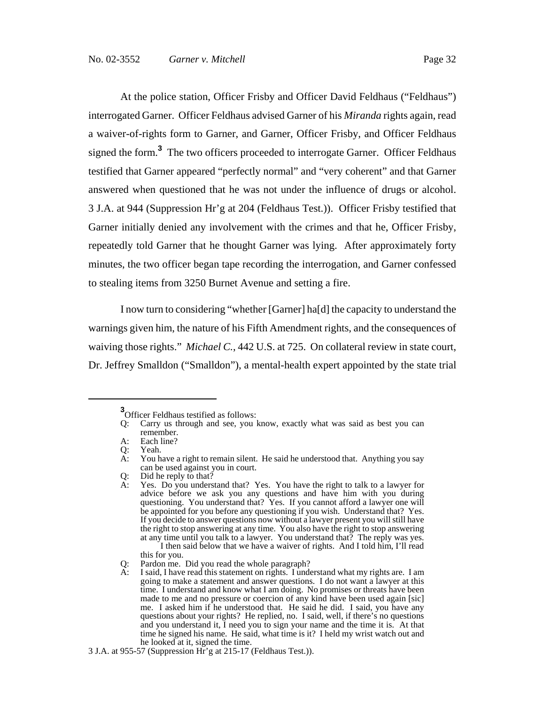At the police station, Officer Frisby and Officer David Feldhaus ("Feldhaus") interrogated Garner. Officer Feldhaus advised Garner of his *Miranda* rights again, read a waiver-of-rights form to Garner, and Garner, Officer Frisby, and Officer Feldhaus signed the form.**<sup>3</sup>** The two officers proceeded to interrogate Garner. Officer Feldhaus testified that Garner appeared "perfectly normal" and "very coherent" and that Garner answered when questioned that he was not under the influence of drugs or alcohol. 3 J.A. at 944 (Suppression Hr'g at 204 (Feldhaus Test.)). Officer Frisby testified that Garner initially denied any involvement with the crimes and that he, Officer Frisby, repeatedly told Garner that he thought Garner was lying. After approximately forty minutes, the two officer began tape recording the interrogation, and Garner confessed to stealing items from 3250 Burnet Avenue and setting a fire.

I now turn to considering "whether [Garner] ha[d] the capacity to understand the warnings given him, the nature of his Fifth Amendment rights, and the consequences of waiving those rights." *Michael C.*, 442 U.S. at 725. On collateral review in state court, Dr. Jeffrey Smalldon ("Smalldon"), a mental-health expert appointed by the state trial

**<sup>3</sup>** Officer Feldhaus testified as follows:

Q: Carry us through and see, you know, exactly what was said as best you can remember.

A: Each line?

Q: Yeah.<br>A: You h

You have a right to remain silent. He said he understood that. Anything you say can be used against you in court.

Q: Did he reply to that?

A: Yes. Do you understand that? Yes. You have the right to talk to a lawyer for advice before we ask you any questions and have him with you during questioning. You understand that? Yes. If you cannot afford a lawyer one will be appointed for you before any questioning if you wish. Understand that? Yes. If you decide to answer questions now without a lawyer present you will still have the right to stop answering at any time. You also have the right to stop answering at any time until you talk to a lawyer. You understand that? The reply was yes. I then said below that we have a waiver of rights. And I told him, I'll read this for you.

Q: Pardon me. Did you read the whole paragraph?

I said, I have read this statement on rights. I understand what my rights are. I am going to make a statement and answer questions. I do not want a lawyer at this time. I understand and know what I am doing. No promises or threats have been made to me and no pressure or coercion of any kind have been used again [sic] me. I asked him if he understood that. He said he did. I said, you have any questions about your rights? He replied, no. I said, well, if there's no questions and you understand it, I need you to sign your name and the time it is. At that time he signed his name. He said, what time is it? I held my wrist watch out and he looked at it, signed the time.

<sup>3</sup> J.A. at 955-57 (Suppression Hr'g at 215-17 (Feldhaus Test.)).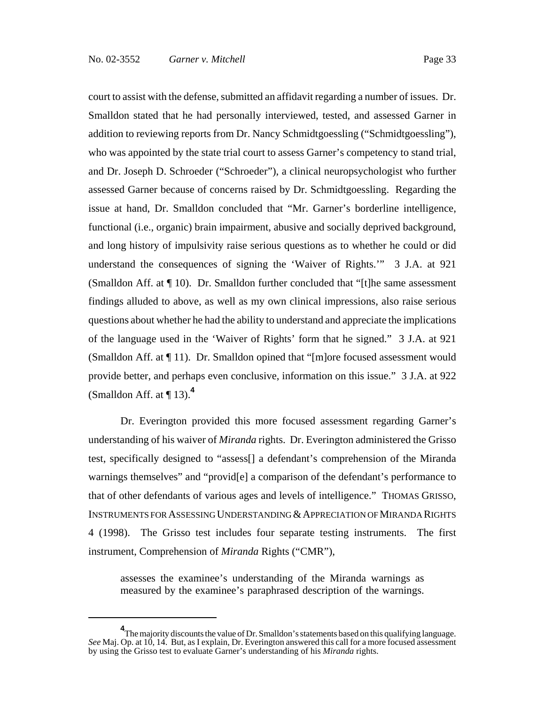court to assist with the defense, submitted an affidavit regarding a number of issues. Dr. Smalldon stated that he had personally interviewed, tested, and assessed Garner in addition to reviewing reports from Dr. Nancy Schmidtgoessling ("Schmidtgoessling"), who was appointed by the state trial court to assess Garner's competency to stand trial, and Dr. Joseph D. Schroeder ("Schroeder"), a clinical neuropsychologist who further assessed Garner because of concerns raised by Dr. Schmidtgoessling. Regarding the issue at hand, Dr. Smalldon concluded that "Mr. Garner's borderline intelligence, functional (i.e., organic) brain impairment, abusive and socially deprived background, and long history of impulsivity raise serious questions as to whether he could or did understand the consequences of signing the 'Waiver of Rights.'" 3 J.A. at 921 (Smalldon Aff. at ¶ 10). Dr. Smalldon further concluded that "[t]he same assessment findings alluded to above, as well as my own clinical impressions, also raise serious questions about whether he had the ability to understand and appreciate the implications of the language used in the 'Waiver of Rights' form that he signed." 3 J.A. at 921 (Smalldon Aff. at ¶ 11). Dr. Smalldon opined that "[m]ore focused assessment would provide better, and perhaps even conclusive, information on this issue." 3 J.A. at 922 (Smalldon Aff. at  $\P$  13).<sup>4</sup>

Dr. Everington provided this more focused assessment regarding Garner's understanding of his waiver of *Miranda* rights. Dr. Everington administered the Grisso test, specifically designed to "assess[] a defendant's comprehension of the Miranda warnings themselves" and "provid<sup>[e]</sup> a comparison of the defendant's performance to that of other defendants of various ages and levels of intelligence." THOMAS GRISSO, INSTRUMENTS FOR ASSESSING UNDERSTANDING & APPRECIATION OF MIRANDA RIGHTS 4 (1998). The Grisso test includes four separate testing instruments. The first instrument, Comprehension of *Miranda* Rights ("CMR"),

assesses the examinee's understanding of the Miranda warnings as measured by the examinee's paraphrased description of the warnings.

<sup>&</sup>lt;sup>4</sup>The majority discounts the value of Dr. Smalldon's statements based on this qualifying language. *See* Maj. Op. at 10, 14. But, as I explain, Dr. Everington answered this call for a more focused assessment by using the Grisso test to evaluate Garner's understanding of his *Miranda* rights.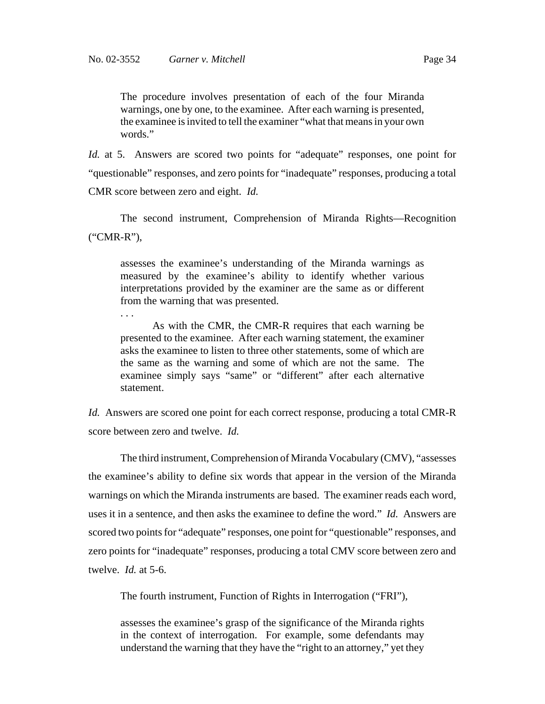. . .

The procedure involves presentation of each of the four Miranda warnings, one by one, to the examinee. After each warning is presented, the examinee is invited to tell the examiner "what that means in your own words."

*Id.* at 5. Answers are scored two points for "adequate" responses, one point for "questionable" responses, and zero points for "inadequate" responses, producing a total CMR score between zero and eight. *Id.*

The second instrument, Comprehension of Miranda Rights—Recognition ("CMR-R"),

assesses the examinee's understanding of the Miranda warnings as measured by the examinee's ability to identify whether various interpretations provided by the examiner are the same as or different from the warning that was presented.

As with the CMR, the CMR-R requires that each warning be presented to the examinee. After each warning statement, the examiner asks the examinee to listen to three other statements, some of which are the same as the warning and some of which are not the same. The examinee simply says "same" or "different" after each alternative statement.

*Id.* Answers are scored one point for each correct response, producing a total CMR-R score between zero and twelve. *Id.*

The third instrument, Comprehension of Miranda Vocabulary (CMV), "assesses the examinee's ability to define six words that appear in the version of the Miranda warnings on which the Miranda instruments are based. The examiner reads each word, uses it in a sentence, and then asks the examinee to define the word." *Id.* Answers are scored two points for "adequate" responses, one point for "questionable" responses, and zero points for "inadequate" responses, producing a total CMV score between zero and twelve. *Id.* at 5-6.

The fourth instrument, Function of Rights in Interrogation ("FRI"),

assesses the examinee's grasp of the significance of the Miranda rights in the context of interrogation. For example, some defendants may understand the warning that they have the "right to an attorney," yet they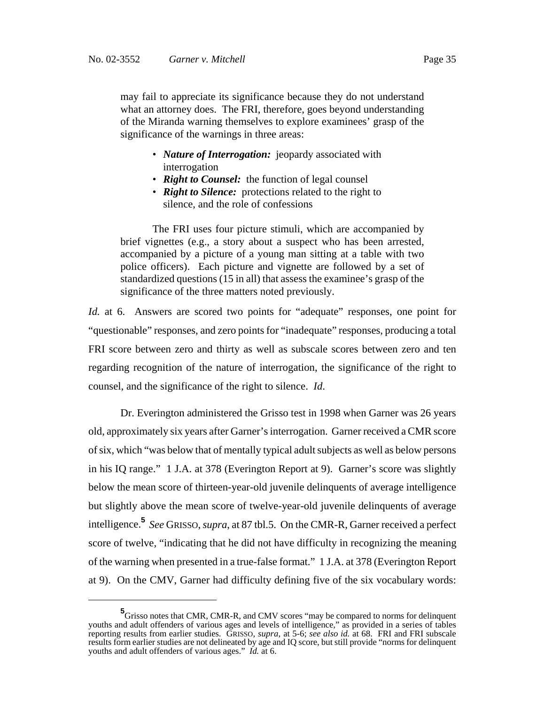may fail to appreciate its significance because they do not understand what an attorney does. The FRI, therefore, goes beyond understanding of the Miranda warning themselves to explore examinees' grasp of the significance of the warnings in three areas:

- *Nature of Interrogation:* jeopardy associated with interrogation
- *Right to Counsel:* the function of legal counsel
- *Right to Silence:* protections related to the right to silence, and the role of confessions

The FRI uses four picture stimuli, which are accompanied by brief vignettes (e.g., a story about a suspect who has been arrested, accompanied by a picture of a young man sitting at a table with two police officers). Each picture and vignette are followed by a set of standardized questions (15 in all) that assess the examinee's grasp of the significance of the three matters noted previously.

*Id.* at 6. Answers are scored two points for "adequate" responses, one point for "questionable" responses, and zero points for "inadequate" responses, producing a total FRI score between zero and thirty as well as subscale scores between zero and ten regarding recognition of the nature of interrogation, the significance of the right to counsel, and the significance of the right to silence. *Id*.

Dr. Everington administered the Grisso test in 1998 when Garner was 26 years old, approximately six years after Garner's interrogation. Garner received a CMR score of six, which "was below that of mentally typical adult subjects as well as below persons in his IQ range." 1 J.A. at 378 (Everington Report at 9). Garner's score was slightly below the mean score of thirteen-year-old juvenile delinquents of average intelligence but slightly above the mean score of twelve-year-old juvenile delinquents of average intelligence.**<sup>5</sup>** *See* GRISSO, *supra*, at 87 tbl.5. On the CMR-R, Garner received a perfect score of twelve, "indicating that he did not have difficulty in recognizing the meaning of the warning when presented in a true-false format." 1 J.A. at 378 (Everington Report at 9). On the CMV, Garner had difficulty defining five of the six vocabulary words:

**<sup>5</sup>** Grisso notes that CMR, CMR-R, and CMV scores "may be compared to norms for delinquent youths and adult offenders of various ages and levels of intelligence," as provided in a series of tables reporting results from earlier studies. GRISSO, *supra*, at 5-6; *see also id.* at 68. FRI and FRI subscale results form earlier studies are not delineated by age and IQ score, but still provide "norms for delinquent youths and adult offenders of various ages." *Id.* at 6.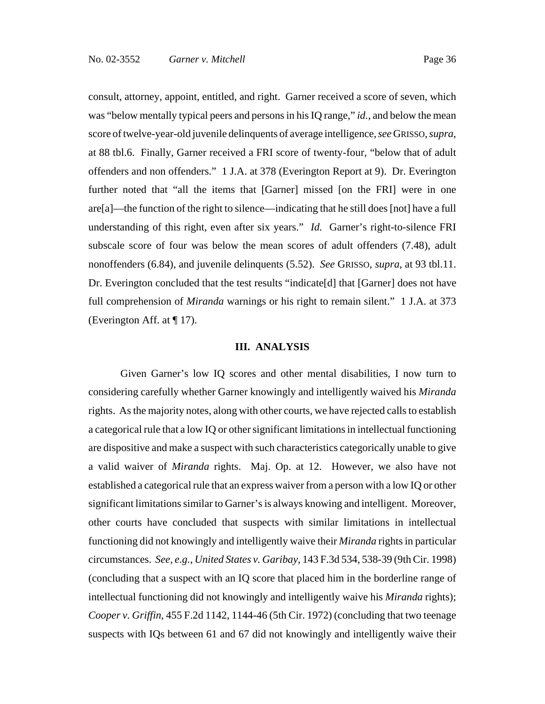consult, attorney, appoint, entitled, and right. Garner received a score of seven, which was "below mentally typical peers and persons in his IQ range," *id.*, and below the mean score of twelve-year-old juvenile delinquents of average intelligence, *see* GRISSO, *supra*, at 88 tbl.6. Finally, Garner received a FRI score of twenty-four, "below that of adult offenders and non offenders." 1 J.A. at 378 (Everington Report at 9). Dr. Everington further noted that "all the items that [Garner] missed [on the FRI] were in one are[a]—the function of the right to silence—indicating that he still does [not] have a full understanding of this right, even after six years." *Id.* Garner's right-to-silence FRI subscale score of four was below the mean scores of adult offenders (7.48), adult nonoffenders (6.84), and juvenile delinquents (5.52). *See* GRISSO, *supra*, at 93 tbl.11. Dr. Everington concluded that the test results "indicate[d] that [Garner] does not have full comprehension of *Miranda* warnings or his right to remain silent." 1 J.A. at 373 (Everington Aff. at ¶ 17).

#### **III. ANALYSIS**

Given Garner's low IQ scores and other mental disabilities, I now turn to considering carefully whether Garner knowingly and intelligently waived his *Miranda* rights. As the majority notes, along with other courts, we have rejected calls to establish a categorical rule that a low IQ or other significant limitations in intellectual functioning are dispositive and make a suspect with such characteristics categorically unable to give a valid waiver of *Miranda* rights. Maj. Op. at 12. However, we also have not established a categorical rule that an express waiver from a person with a low IQ or other significant limitations similar to Garner's is always knowing and intelligent. Moreover, other courts have concluded that suspects with similar limitations in intellectual functioning did not knowingly and intelligently waive their *Miranda* rights in particular circumstances. *See, e.g.*, *United States v. Garibay*, 143 F.3d 534, 538-39 (9th Cir. 1998) (concluding that a suspect with an IQ score that placed him in the borderline range of intellectual functioning did not knowingly and intelligently waive his *Miranda* rights); *Cooper v. Griffin*, 455 F.2d 1142, 1144-46 (5th Cir. 1972) (concluding that two teenage suspects with IQs between 61 and 67 did not knowingly and intelligently waive their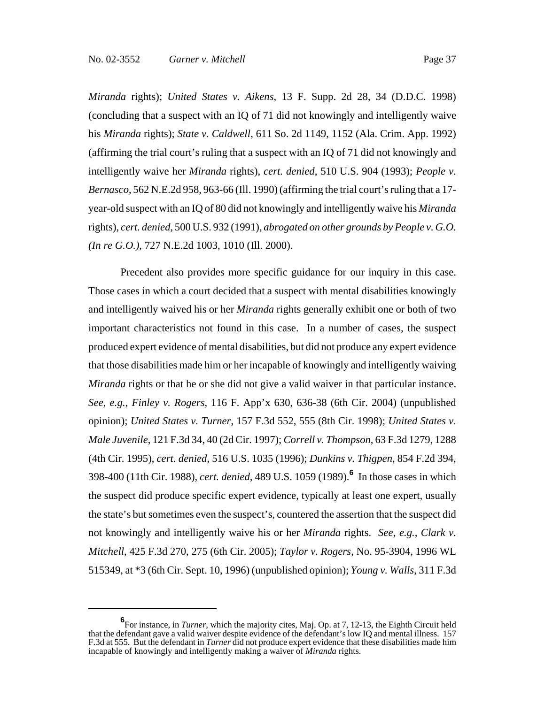*Miranda* rights); *United States v. Aikens*, 13 F. Supp. 2d 28, 34 (D.D.C. 1998) (concluding that a suspect with an IQ of 71 did not knowingly and intelligently waive his *Miranda* rights); *State v. Caldwell*, 611 So. 2d 1149, 1152 (Ala. Crim. App. 1992) (affirming the trial court's ruling that a suspect with an IQ of 71 did not knowingly and intelligently waive her *Miranda* rights), *cert. denied*, 510 U.S. 904 (1993); *People v. Bernasco*, 562 N.E.2d 958, 963-66 (Ill. 1990) (affirming the trial court's ruling that a 17 year-old suspect with an IQ of 80 did not knowingly and intelligently waive his *Miranda* rights), *cert. denied*, 500 U.S. 932 (1991), *abrogated on other grounds by People v. G.O. (In re G.O.)*, 727 N.E.2d 1003, 1010 (Ill. 2000).

Precedent also provides more specific guidance for our inquiry in this case. Those cases in which a court decided that a suspect with mental disabilities knowingly and intelligently waived his or her *Miranda* rights generally exhibit one or both of two important characteristics not found in this case. In a number of cases, the suspect produced expert evidence of mental disabilities, but did not produce any expert evidence that those disabilities made him or her incapable of knowingly and intelligently waiving *Miranda* rights or that he or she did not give a valid waiver in that particular instance. *See, e.g.*, *Finley v. Rogers*, 116 F. App'x 630, 636-38 (6th Cir. 2004) (unpublished opinion); *United States v. Turner*, 157 F.3d 552, 555 (8th Cir. 1998); *United States v. Male Juvenile*, 121 F.3d 34, 40 (2d Cir. 1997); *Correll v. Thompson*, 63 F.3d 1279, 1288 (4th Cir. 1995), *cert. denied*, 516 U.S. 1035 (1996); *Dunkins v. Thigpen*, 854 F.2d 394, 398-400 (11th Cir. 1988), *cert. denied*, 489 U.S. 1059 (1989).**<sup>6</sup>** In those cases in which the suspect did produce specific expert evidence, typically at least one expert, usually the state's but sometimes even the suspect's, countered the assertion that the suspect did not knowingly and intelligently waive his or her *Miranda* rights. *See, e.g.*, *Clark v. Mitchell*, 425 F.3d 270, 275 (6th Cir. 2005); *Taylor v. Rogers*, No. 95-3904, 1996 WL 515349, at \*3 (6th Cir. Sept. 10, 1996) (unpublished opinion); *Young v. Walls*, 311 F.3d

**<sup>6</sup>** For instance, in *Turner*, which the majority cites, Maj. Op. at 7, 12-13, the Eighth Circuit held that the defendant gave a valid waiver despite evidence of the defendant's low IQ and mental illness. 157 F.3d at 555. But the defendant in *Turner* did not produce expert evidence that these disabilities made him incapable of knowingly and intelligently making a waiver of *Miranda* rights.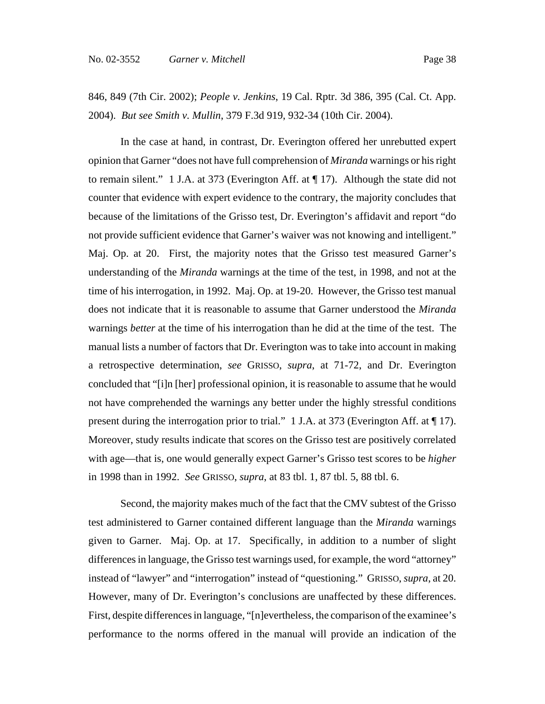# 846, 849 (7th Cir. 2002); *People v. Jenkins*, 19 Cal. Rptr. 3d 386, 395 (Cal. Ct. App. 2004). *But see Smith v. Mullin*, 379 F.3d 919, 932-34 (10th Cir. 2004).

In the case at hand, in contrast, Dr. Everington offered her unrebutted expert opinion that Garner "does not have full comprehension of *Miranda* warnings or his right to remain silent." 1 J.A. at 373 (Everington Aff. at ¶ 17). Although the state did not counter that evidence with expert evidence to the contrary, the majority concludes that because of the limitations of the Grisso test, Dr. Everington's affidavit and report "do not provide sufficient evidence that Garner's waiver was not knowing and intelligent." Maj. Op. at 20. First, the majority notes that the Grisso test measured Garner's understanding of the *Miranda* warnings at the time of the test, in 1998, and not at the time of his interrogation, in 1992. Maj. Op. at 19-20. However, the Grisso test manual does not indicate that it is reasonable to assume that Garner understood the *Miranda* warnings *better* at the time of his interrogation than he did at the time of the test. The manual lists a number of factors that Dr. Everington was to take into account in making a retrospective determination, *see* GRISSO, *supra*, at 71-72, and Dr. Everington concluded that "[i]n [her] professional opinion, it is reasonable to assume that he would not have comprehended the warnings any better under the highly stressful conditions present during the interrogation prior to trial." 1 J.A. at 373 (Everington Aff. at ¶ 17). Moreover, study results indicate that scores on the Grisso test are positively correlated with age—that is, one would generally expect Garner's Grisso test scores to be *higher* in 1998 than in 1992. *See* GRISSO, *supra*, at 83 tbl. 1, 87 tbl. 5, 88 tbl. 6.

Second, the majority makes much of the fact that the CMV subtest of the Grisso test administered to Garner contained different language than the *Miranda* warnings given to Garner. Maj. Op. at 17. Specifically, in addition to a number of slight differences in language, the Grisso test warnings used, for example, the word "attorney" instead of "lawyer" and "interrogation" instead of "questioning." GRISSO, *supra*, at 20. However, many of Dr. Everington's conclusions are unaffected by these differences. First, despite differences in language, "[n]evertheless, the comparison of the examinee's performance to the norms offered in the manual will provide an indication of the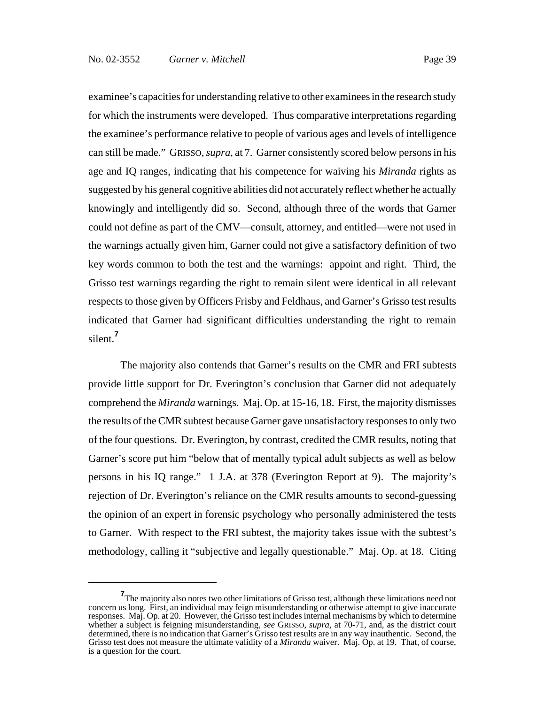examinee's capacities for understanding relative to other examinees in the research study for which the instruments were developed. Thus comparative interpretations regarding the examinee's performance relative to people of various ages and levels of intelligence can still be made." GRISSO, *supra*, at 7. Garner consistently scored below persons in his age and IQ ranges, indicating that his competence for waiving his *Miranda* rights as suggested by his general cognitive abilities did not accurately reflect whether he actually knowingly and intelligently did so. Second, although three of the words that Garner could not define as part of the CMV—consult, attorney, and entitled—were not used in the warnings actually given him, Garner could not give a satisfactory definition of two key words common to both the test and the warnings: appoint and right. Third, the Grisso test warnings regarding the right to remain silent were identical in all relevant respects to those given by Officers Frisby and Feldhaus, and Garner's Grisso test results indicated that Garner had significant difficulties understanding the right to remain silent.**<sup>7</sup>**

The majority also contends that Garner's results on the CMR and FRI subtests provide little support for Dr. Everington's conclusion that Garner did not adequately comprehend the *Miranda* warnings. Maj. Op. at 15-16, 18. First, the majority dismisses the results of the CMR subtest because Garner gave unsatisfactory responses to only two of the four questions. Dr. Everington, by contrast, credited the CMR results, noting that Garner's score put him "below that of mentally typical adult subjects as well as below persons in his IQ range." 1 J.A. at 378 (Everington Report at 9). The majority's rejection of Dr. Everington's reliance on the CMR results amounts to second-guessing the opinion of an expert in forensic psychology who personally administered the tests to Garner. With respect to the FRI subtest, the majority takes issue with the subtest's methodology, calling it "subjective and legally questionable." Maj. Op. at 18. Citing

**<sup>7</sup>** The majority also notes two other limitations of Grisso test, although these limitations need not concern us long. First, an individual may feign misunderstanding or otherwise attempt to give inaccurate responses. Maj. Op. at 20. However, the Grisso test includes internal mechanisms by which to determine whether a subject is feigning misunderstanding, *see* GRISSO, *supra*, at 70-71, and, as the district court determined, there is no indication that Garner's Grisso test results are in any way inauthentic. Second, the Grisso test does not measure the ultimate validity of a *Miranda* waiver. Maj. Op. at 19. That, of course, is a question for the court.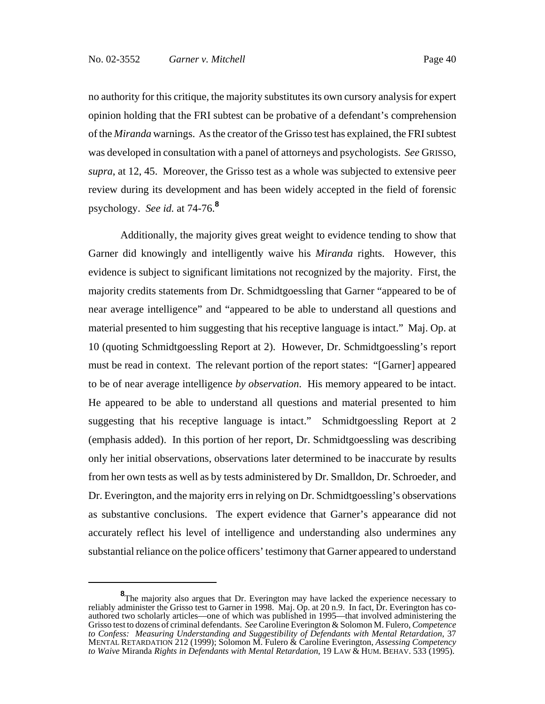no authority for this critique, the majority substitutes its own cursory analysis for expert opinion holding that the FRI subtest can be probative of a defendant's comprehension of the *Miranda* warnings. As the creator of the Grisso test has explained, the FRI subtest was developed in consultation with a panel of attorneys and psychologists. *See* GRISSO, *supra*, at 12, 45. Moreover, the Grisso test as a whole was subjected to extensive peer review during its development and has been widely accepted in the field of forensic psychology. *See id.* at 74-76.**<sup>8</sup>**

Additionally, the majority gives great weight to evidence tending to show that Garner did knowingly and intelligently waive his *Miranda* rights. However, this evidence is subject to significant limitations not recognized by the majority. First, the majority credits statements from Dr. Schmidtgoessling that Garner "appeared to be of near average intelligence" and "appeared to be able to understand all questions and material presented to him suggesting that his receptive language is intact." Maj. Op. at 10 (quoting Schmidtgoessling Report at 2). However, Dr. Schmidtgoessling's report must be read in context. The relevant portion of the report states: "[Garner] appeared to be of near average intelligence *by observation*. His memory appeared to be intact. He appeared to be able to understand all questions and material presented to him suggesting that his receptive language is intact." Schmidtgoessling Report at 2 (emphasis added). In this portion of her report, Dr. Schmidtgoessling was describing only her initial observations, observations later determined to be inaccurate by results from her own tests as well as by tests administered by Dr. Smalldon, Dr. Schroeder, and Dr. Everington, and the majority errs in relying on Dr. Schmidtgoessling's observations as substantive conclusions. The expert evidence that Garner's appearance did not accurately reflect his level of intelligence and understanding also undermines any substantial reliance on the police officers' testimony that Garner appeared to understand

**<sup>8</sup>**The majority also argues that Dr. Everington may have lacked the experience necessary to reliably administer the Grisso test to Garner in 1998. Maj. Op. at 20 n.9. In fact, Dr. Everington has coauthored two scholarly articles—one of which was published in 1995—that involved administering the Grisso test to dozens of criminal defendants. *See* Caroline Everington & Solomon M. Fulero, *Competence to Confess: Measuring Understanding and Suggestibility of Defendants with Mental Retardation*, 37 MENTAL RETARDATION 212 (1999); Solomon M. Fulero & Caroline Everington, *Assessing Competency to Waive* Miranda *Rights in Defendants with Mental Retardation*, 19 LAW & HUM. BEHAV. 533 (1995).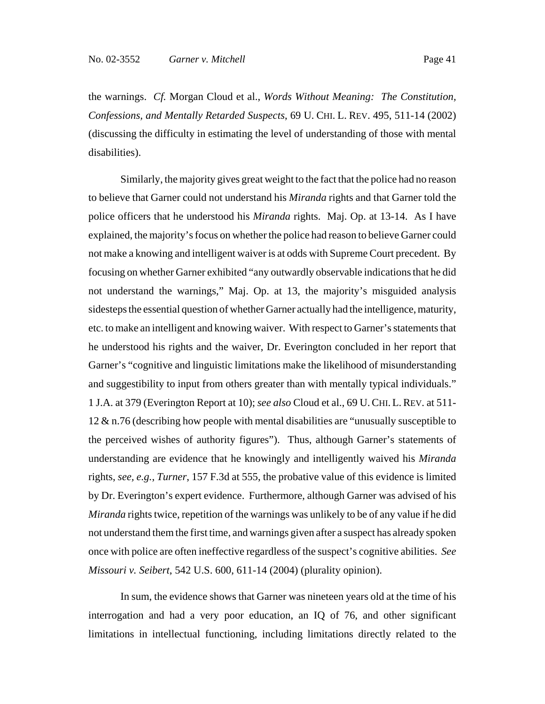the warnings. *Cf.* Morgan Cloud et al., *Words Without Meaning: The Constitution, Confessions, and Mentally Retarded Suspects*, 69 U. CHI. L. REV. 495, 511-14 (2002) (discussing the difficulty in estimating the level of understanding of those with mental disabilities).

Similarly, the majority gives great weight to the fact that the police had no reason to believe that Garner could not understand his *Miranda* rights and that Garner told the police officers that he understood his *Miranda* rights. Maj. Op. at 13-14. As I have explained, the majority's focus on whether the police had reason to believe Garner could not make a knowing and intelligent waiver is at odds with Supreme Court precedent. By focusing on whether Garner exhibited "any outwardly observable indications that he did not understand the warnings," Maj. Op. at 13, the majority's misguided analysis sidesteps the essential question of whether Garner actually had the intelligence, maturity, etc. to make an intelligent and knowing waiver. With respect to Garner's statements that he understood his rights and the waiver, Dr. Everington concluded in her report that Garner's "cognitive and linguistic limitations make the likelihood of misunderstanding and suggestibility to input from others greater than with mentally typical individuals." 1 J.A. at 379 (Everington Report at 10); *see also* Cloud et al., 69 U.CHI. L.REV. at 511- 12 & n.76 (describing how people with mental disabilities are "unusually susceptible to the perceived wishes of authority figures"). Thus, although Garner's statements of understanding are evidence that he knowingly and intelligently waived his *Miranda* rights, *see, e.g.*, *Turner*, 157 F.3d at 555, the probative value of this evidence is limited by Dr. Everington's expert evidence. Furthermore, although Garner was advised of his *Miranda* rights twice, repetition of the warnings was unlikely to be of any value if he did not understand them the first time, and warnings given after a suspect has already spoken once with police are often ineffective regardless of the suspect's cognitive abilities. *See Missouri v. Seibert*, 542 U.S. 600, 611-14 (2004) (plurality opinion).

In sum, the evidence shows that Garner was nineteen years old at the time of his interrogation and had a very poor education, an IQ of 76, and other significant limitations in intellectual functioning, including limitations directly related to the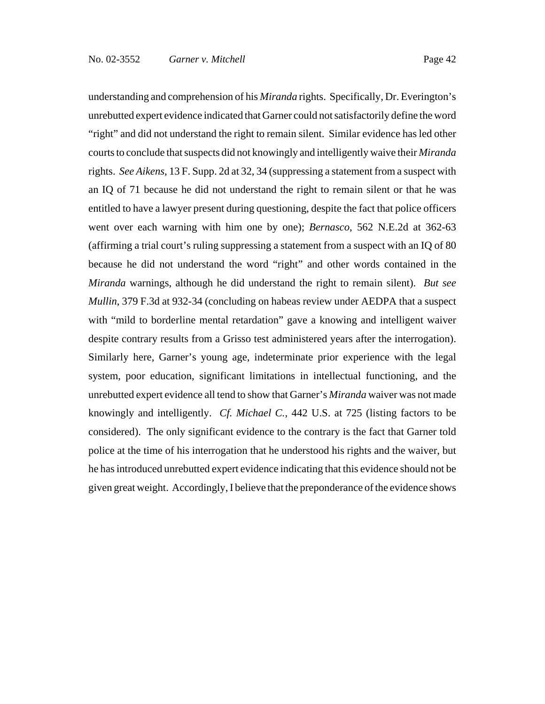understanding and comprehension of his *Miranda* rights. Specifically, Dr. Everington's unrebutted expert evidence indicated that Garner could not satisfactorily define the word "right" and did not understand the right to remain silent. Similar evidence has led other courts to conclude that suspects did not knowingly and intelligently waive their *Miranda* rights. *See Aikens*, 13 F. Supp. 2d at 32, 34 (suppressing a statement from a suspect with an IQ of 71 because he did not understand the right to remain silent or that he was entitled to have a lawyer present during questioning, despite the fact that police officers went over each warning with him one by one); *Bernasco*, 562 N.E.2d at 362-63 (affirming a trial court's ruling suppressing a statement from a suspect with an IQ of 80 because he did not understand the word "right" and other words contained in the *Miranda* warnings, although he did understand the right to remain silent). *But see Mullin*, 379 F.3d at 932-34 (concluding on habeas review under AEDPA that a suspect with "mild to borderline mental retardation" gave a knowing and intelligent waiver despite contrary results from a Grisso test administered years after the interrogation). Similarly here, Garner's young age, indeterminate prior experience with the legal system, poor education, significant limitations in intellectual functioning, and the unrebutted expert evidence all tend to show that Garner's *Miranda* waiver was not made knowingly and intelligently. *Cf. Michael C.*, 442 U.S. at 725 (listing factors to be considered). The only significant evidence to the contrary is the fact that Garner told police at the time of his interrogation that he understood his rights and the waiver, but he has introduced unrebutted expert evidence indicating that this evidence should not be given great weight. Accordingly, I believe that the preponderance of the evidence shows